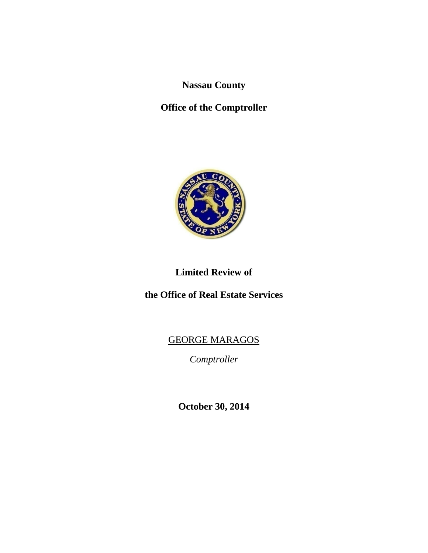**Nassau County**

**Office of the Comptroller**



# **Limited Review of**

**the Office of Real Estate Services**

# GEORGE MARAGOS

*Comptroller*

**October 30, 2014**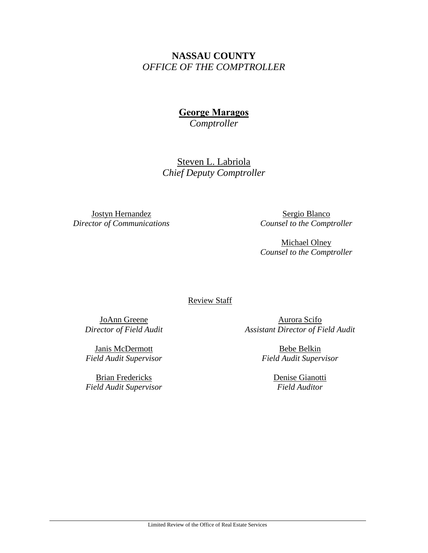## **NASSAU COUNTY** *OFFICE OF THE COMPTROLLER*

**George Maragos**

*Comptroller*

Steven L. Labriola *Chief Deputy Comptroller*

Jostyn Hernandez *Director of Communications*

Sergio Blanco *Counsel to the Comptroller*

Michael Olney *Counsel to the Comptroller*

Review Staff

JoAnn Greene *Director of Field Audit*

Aurora Scifo *Assistant Director of Field Audit* 

Janis McDermott *Field Audit Supervisor*

Brian Fredericks *Field Audit Supervisor*

Bebe Belkin *Field Audit Supervisor*

> Denise Gianotti *Field Auditor*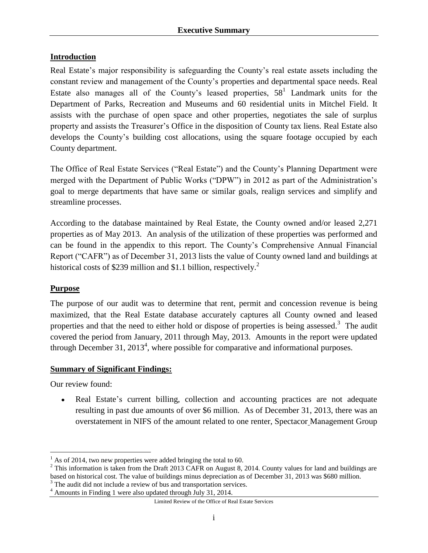#### **Introduction**

Real Estate's major responsibility is safeguarding the County's real estate assets including the constant review and management of the County's properties and departmental space needs. Real Estate also manages all of the County's leased properties,  $58<sup>1</sup>$  Landmark units for the Department of Parks, Recreation and Museums and 60 residential units in Mitchel Field. It assists with the purchase of open space and other properties, negotiates the sale of surplus property and assists the Treasurer's Office in the disposition of County tax liens. Real Estate also develops the County's building cost allocations, using the square footage occupied by each County department.

The Office of Real Estate Services ("Real Estate") and the County's Planning Department were merged with the Department of Public Works ("DPW") in 2012 as part of the Administration's goal to merge departments that have same or similar goals, realign services and simplify and streamline processes.

According to the database maintained by Real Estate, the County owned and/or leased 2,271 properties as of May 2013. An analysis of the utilization of these properties was performed and can be found in the appendix to this report. The County's Comprehensive Annual Financial Report ("CAFR") as of December 31, 2013 lists the value of County owned land and buildings at historical costs of \$239 million and \$1.1 billion, respectively.<sup>2</sup>

#### **Purpose**

The purpose of our audit was to determine that rent, permit and concession revenue is being maximized, that the Real Estate database accurately captures all County owned and leased properties and that the need to either hold or dispose of properties is being assessed.<sup>3</sup> The audit covered the period from January, 2011 through May, 2013. Amounts in the report were updated through December 31, 2013<sup>4</sup>, where possible for comparative and informational purposes.

#### **Summary of Significant Findings:**

Our review found:

 $\overline{a}$ 

Real Estate's current billing, collection and accounting practices are not adequate resulting in past due amounts of over \$6 million. As of December 31, 2013, there was an overstatement in NIFS of the amount related to one renter, Spectacor Management Group

 $1$  As of 2014, two new properties were added bringing the total to 60.

<sup>&</sup>lt;sup>2</sup> This information is taken from the Draft 2013 CAFR on August 8, 2014. County values for land and buildings are based on historical cost. The value of buildings minus depreciation as of December 31, 2013 was \$680 million. <sup>3</sup> The audit did not include a review of bus and transportation services.

<sup>4</sup> Amounts in Finding 1 were also updated through July 31, 2014.

Limited Review of the Office of Real Estate Services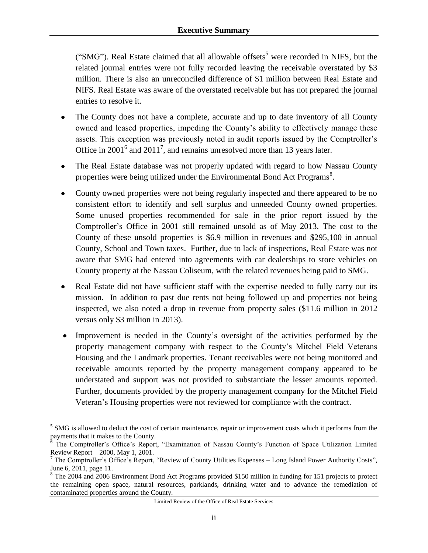("SMG"). Real Estate claimed that all allowable offsets<sup>5</sup> were recorded in NIFS, but the related journal entries were not fully recorded leaving the receivable overstated by \$3 million. There is also an unreconciled difference of \$1 million between Real Estate and NIFS. Real Estate was aware of the overstated receivable but has not prepared the journal entries to resolve it.

- The County does not have a complete, accurate and up to date inventory of all County owned and leased properties, impeding the County's ability to effectively manage these assets. This exception was previously noted in audit reports issued by the Comptroller's Office in 2001<sup>6</sup> and 2011<sup>7</sup>, and remains unresolved more than 13 years later.
- The Real Estate database was not properly updated with regard to how Nassau County properties were being utilized under the Environmental Bond Act Programs<sup>8</sup>.
- County owned properties were not being regularly inspected and there appeared to be no consistent effort to identify and sell surplus and unneeded County owned properties. Some unused properties recommended for sale in the prior report issued by the Comptroller's Office in 2001 still remained unsold as of May 2013. The cost to the County of these unsold properties is \$6.9 million in revenues and \$295,100 in annual County, School and Town taxes. Further, due to lack of inspections, Real Estate was not aware that SMG had entered into agreements with car dealerships to store vehicles on County property at the Nassau Coliseum, with the related revenues being paid to SMG.
- Real Estate did not have sufficient staff with the expertise needed to fully carry out its mission. In addition to past due rents not being followed up and properties not being inspected, we also noted a drop in revenue from property sales (\$11.6 million in 2012 versus only \$3 million in 2013).
- Improvement is needed in the County's oversight of the activities performed by the property management company with respect to the County's Mitchel Field Veterans Housing and the Landmark properties. Tenant receivables were not being monitored and receivable amounts reported by the property management company appeared to be understated and support was not provided to substantiate the lesser amounts reported. Further, documents provided by the property management company for the Mitchel Field Veteran's Housing properties were not reviewed for compliance with the contract.

 $\overline{a}$ 

<sup>&</sup>lt;sup>5</sup> SMG is allowed to deduct the cost of certain maintenance, repair or improvement costs which it performs from the payments that it makes to the County.

<sup>&</sup>lt;sup>6</sup> The Comptroller's Office's Report, "Examination of Nassau County's Function of Space Utilization Limited Review Report – 2000, May 1, 2001.

<sup>&</sup>lt;sup>7</sup> The Comptroller's Office's Report, "Review of County Utilities Expenses – Long Island Power Authority Costs", June 6, 2011, page 11.

<sup>&</sup>lt;sup>8</sup> The 2004 and 2006 Environment Bond Act Programs provided \$150 million in funding for 151 projects to protect the remaining open space, natural resources, parklands, drinking water and to advance the remediation of contaminated properties around the County.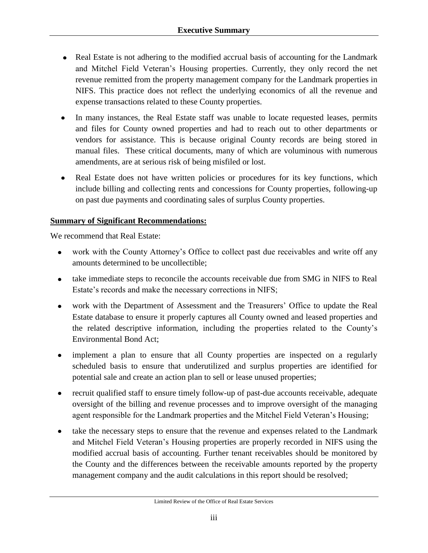- Real Estate is not adhering to the modified accrual basis of accounting for the Landmark and Mitchel Field Veteran's Housing properties. Currently, they only record the net revenue remitted from the property management company for the Landmark properties in NIFS. This practice does not reflect the underlying economics of all the revenue and expense transactions related to these County properties.
- In many instances, the Real Estate staff was unable to locate requested leases, permits and files for County owned properties and had to reach out to other departments or vendors for assistance. This is because original County records are being stored in manual files. These critical documents, many of which are voluminous with numerous amendments, are at serious risk of being misfiled or lost.
- Real Estate does not have written policies or procedures for its key functions, which  $\bullet$ include billing and collecting rents and concessions for County properties, following-up on past due payments and coordinating sales of surplus County properties.

#### **Summary of Significant Recommendations:**

We recommend that Real Estate:

- work with the County Attorney's Office to collect past due receivables and write off any  $\bullet$ amounts determined to be uncollectible;
- take immediate steps to reconcile the accounts receivable due from SMG in NIFS to Real  $\bullet$ Estate's records and make the necessary corrections in NIFS;
- work with the Department of Assessment and the Treasurers' Office to update the Real  $\bullet$ Estate database to ensure it properly captures all County owned and leased properties and the related descriptive information, including the properties related to the County's Environmental Bond Act;
- implement a plan to ensure that all County properties are inspected on a regularly scheduled basis to ensure that underutilized and surplus properties are identified for potential sale and create an action plan to sell or lease unused properties;
- recruit qualified staff to ensure timely follow-up of past-due accounts receivable, adequate  $\bullet$ oversight of the billing and revenue processes and to improve oversight of the managing agent responsible for the Landmark properties and the Mitchel Field Veteran's Housing;
- take the necessary steps to ensure that the revenue and expenses related to the Landmark  $\bullet$ and Mitchel Field Veteran's Housing properties are properly recorded in NIFS using the modified accrual basis of accounting. Further tenant receivables should be monitored by the County and the differences between the receivable amounts reported by the property management company and the audit calculations in this report should be resolved;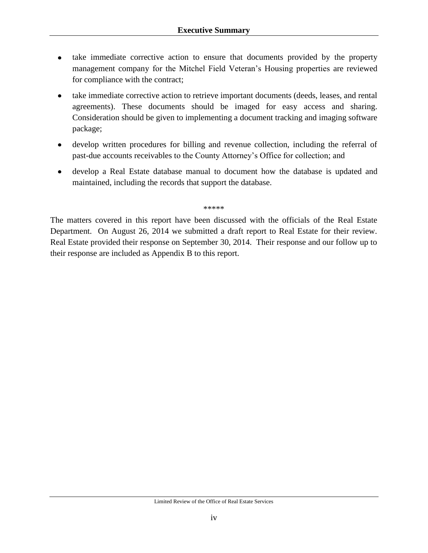- take immediate corrective action to ensure that documents provided by the property  $\bullet$ management company for the Mitchel Field Veteran's Housing properties are reviewed for compliance with the contract;
- take immediate corrective action to retrieve important documents (deeds, leases, and rental agreements). These documents should be imaged for easy access and sharing. Consideration should be given to implementing a document tracking and imaging software package;
- develop written procedures for billing and revenue collection, including the referral of  $\bullet$ past-due accounts receivables to the County Attorney's Office for collection; and
- develop a Real Estate database manual to document how the database is updated and maintained, including the records that support the database.

\*\*\*\*\*

The matters covered in this report have been discussed with the officials of the Real Estate Department. On August 26, 2014 we submitted a draft report to Real Estate for their review. Real Estate provided their response on September 30, 2014. Their response and our follow up to their response are included as Appendix B to this report.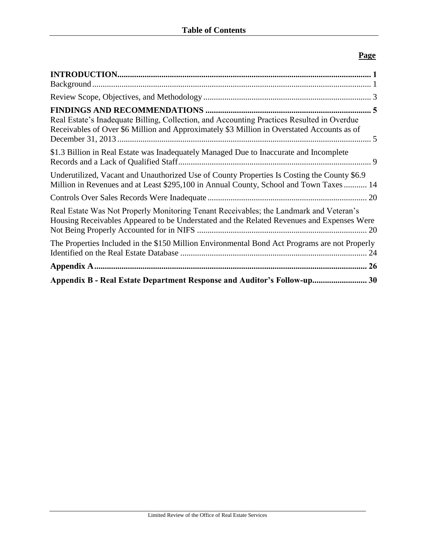### **Page**

| Real Estate's Inadequate Billing, Collection, and Accounting Practices Resulted in Overdue<br>Receivables of Over \$6 Million and Approximately \$3 Million in Overstated Accounts as of |  |
|------------------------------------------------------------------------------------------------------------------------------------------------------------------------------------------|--|
| \$1.3 Billion in Real Estate was Inadequately Managed Due to Inaccurate and Incomplete                                                                                                   |  |
| Underutilized, Vacant and Unauthorized Use of County Properties Is Costing the County \$6.9<br>Million in Revenues and at Least \$295,100 in Annual County, School and Town Taxes  14    |  |
|                                                                                                                                                                                          |  |
| Real Estate Was Not Properly Monitoring Tenant Receivables; the Landmark and Veteran's<br>Housing Receivables Appeared to be Understated and the Related Revenues and Expenses Were      |  |
| The Properties Included in the \$150 Million Environmental Bond Act Programs are not Properly                                                                                            |  |
|                                                                                                                                                                                          |  |
| Appendix B - Real Estate Department Response and Auditor's Follow-up 30                                                                                                                  |  |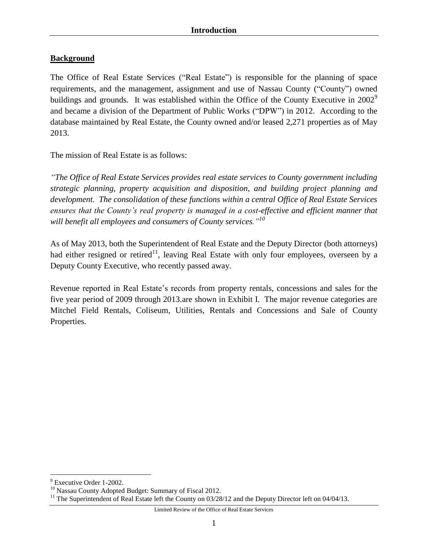#### <span id="page-7-1"></span><span id="page-7-0"></span>**Background**

The Office of Real Estate Services ("Real Estate") is responsible for the planning of space requirements, and the management, assignment and use of Nassau County ("County") owned buildings and grounds. It was established within the Office of the County Executive in  $2002^9$ and became a division of the Department of Public Works ("DPW") in 2012. According to the database maintained by Real Estate, the County owned and/or leased 2,271 properties as of May 2013.

The mission of Real Estate is as follows:

*"The Office of Real Estate Services provides real estate services to County government including strategic planning, property acquisition and disposition, and building project planning and development. The consolidation of these functions within a central Office of Real Estate Services ensures that the County's real property is managed in a cost-effective and efficient manner that will benefit all employees and consumers of County services."<sup>10</sup>*

As of May 2013, both the Superintendent of Real Estate and the Deputy Director (both attorneys) had either resigned or retired<sup>11</sup>, leaving Real Estate with only four employees, overseen by a Deputy County Executive, who recently passed away.

Revenue reported in Real Estate's records from property rentals, concessions and sales for the five year period of 2009 through 2013.are shown in Exhibit I. The major revenue categories are Mitchel Field Rentals, Coliseum, Utilities, Rentals and Concessions and Sale of County Properties.

Limited Review of the Office of Real Estate Services

 $\overline{a}$  $9$  Executive Order 1-2002.

<sup>&</sup>lt;sup>10</sup> Nassau County Adopted Budget: Summary of Fiscal 2012.

<sup>&</sup>lt;sup>11</sup> The Superintendent of Real Estate left the County on 03/28/12 and the Deputy Director left on 04/04/13.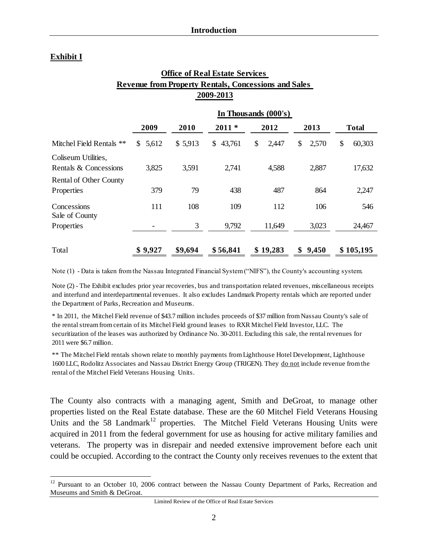#### **Exhibit I**

 $\overline{a}$ 

|                                                             |                       |         | <b>Office of Real Estate Services</b> |                      |             |              |  |  |  |
|-------------------------------------------------------------|-----------------------|---------|---------------------------------------|----------------------|-------------|--------------|--|--|--|
| <b>Revenue from Property Rentals, Concessions and Sales</b> |                       |         |                                       |                      |             |              |  |  |  |
|                                                             |                       |         | 2009-2013                             |                      |             |              |  |  |  |
|                                                             |                       |         |                                       | In Thousands (000's) |             |              |  |  |  |
|                                                             | 2009                  | 2010    | $2011*$                               | 2012                 | 2013        | <b>Total</b> |  |  |  |
| Mitchel Field Rentals **                                    | 5,612<br>$\mathbb{S}$ | \$5,913 | \$43,761                              | \$<br>2,447          | \$<br>2,570 | \$<br>60,303 |  |  |  |
| Coliseum Utilities,<br>Rentals & Concessions                | 3,825                 | 3,591   | 2,741                                 | 4,588                | 2,887       | 17,632       |  |  |  |
| <b>Rental of Other County</b><br>Properties                 | 379                   | 79      | 438                                   | 487                  | 864         | 2,247        |  |  |  |
| Concessions<br>Sale of County                               | 111                   | 108     | 109                                   | 112                  | 106         | 546          |  |  |  |
| Properties                                                  |                       | 3       | 9,792                                 | 11,649               | 3,023       | 24,467       |  |  |  |
| Total                                                       | \$9,927               | \$9,694 | \$56,841                              | \$19,283             | 9,450<br>\$ | \$105,195    |  |  |  |

Note (1) - Data is taken from the Nassau Integrated Financial System ("NIFS"), the County's accounting system.

Note (2) - The Exhibit excludes prior year recoveries, bus and transportation related revenues, miscellaneous receipts and interfund and interdepartmental revenues. It also excludes Landmark Property rentals which are reported under the Department of Parks, Recreation and Museums.

\* In 2011, the Mitchel Field revenue of \$43.7 million includes proceeds of \$37 million from Nassau County's sale of the rental stream from certain of its Mitchel Field ground leases to RXR Mitchel Field Investor, LLC. The securitization of the leases was authorized by Ordinance No. 30-2011. Excluding this sale, the rental revenues for 2011 were \$6.7 million.

\*\* The Mitchel Field rentals shown relate to monthly payments from Lighthouse Hotel Development, Lighthouse 1600 LLC, Rodolitz Associates and Nassau District Energy Group (TRIGEN). They do not include revenue from the rental of the Mitchel Field Veterans Housing Units.

The County also contracts with a managing agent, Smith and DeGroat, to manage other properties listed on the Real Estate database. These are the 60 Mitchel Field Veterans Housing Units and the 58 Landmark<sup>12</sup> properties. The Mitchel Field Veterans Housing Units were acquired in 2011 from the federal government for use as housing for active military families and veterans. The property was in disrepair and needed extensive improvement before each unit could be occupied. According to the contract the County only receives revenues to the extent that

Limited Review of the Office of Real Estate Services

<sup>&</sup>lt;sup>12</sup> Pursuant to an October 10, 2006 contract between the Nassau County Department of Parks, Recreation and Museums and Smith & DeGroat.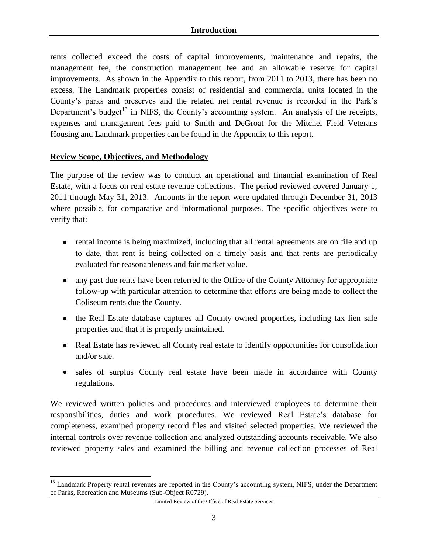rents collected exceed the costs of capital improvements, maintenance and repairs, the management fee, the construction management fee and an allowable reserve for capital improvements. As shown in the Appendix to this report, from 2011 to 2013, there has been no excess. The Landmark properties consist of residential and commercial units located in the County's parks and preserves and the related net rental revenue is recorded in the Park's Department's budget<sup>13</sup> in NIFS, the County's accounting system. An analysis of the receipts, expenses and management fees paid to Smith and DeGroat for the Mitchel Field Veterans Housing and Landmark properties can be found in the Appendix to this report.

#### <span id="page-9-0"></span>**Review Scope, Objectives, and Methodology**

 $\overline{a}$ 

The purpose of the review was to conduct an operational and financial examination of Real Estate, with a focus on real estate revenue collections. The period reviewed covered January 1, 2011 through May 31, 2013. Amounts in the report were updated through December 31, 2013 where possible, for comparative and informational purposes. The specific objectives were to verify that:

- rental income is being maximized, including that all rental agreements are on file and up to date, that rent is being collected on a timely basis and that rents are periodically evaluated for reasonableness and fair market value.
- any past due rents have been referred to the Office of the County Attorney for appropriate follow-up with particular attention to determine that efforts are being made to collect the Coliseum rents due the County.
- the Real Estate database captures all County owned properties, including tax lien sale properties and that it is properly maintained.
- Real Estate has reviewed all County real estate to identify opportunities for consolidation and/or sale.
- sales of surplus County real estate have been made in accordance with County regulations.

We reviewed written policies and procedures and interviewed employees to determine their responsibilities, duties and work procedures. We reviewed Real Estate's database for completeness, examined property record files and visited selected properties. We reviewed the internal controls over revenue collection and analyzed outstanding accounts receivable. We also reviewed property sales and examined the billing and revenue collection processes of Real

<sup>&</sup>lt;sup>13</sup> Landmark Property rental revenues are reported in the County's accounting system, NIFS, under the Department of Parks, Recreation and Museums (Sub-Object R0729).

Limited Review of the Office of Real Estate Services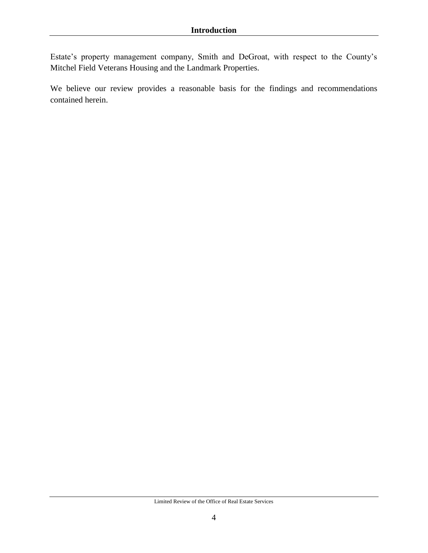Estate's property management company, Smith and DeGroat, with respect to the County's Mitchel Field Veterans Housing and the Landmark Properties.

We believe our review provides a reasonable basis for the findings and recommendations contained herein.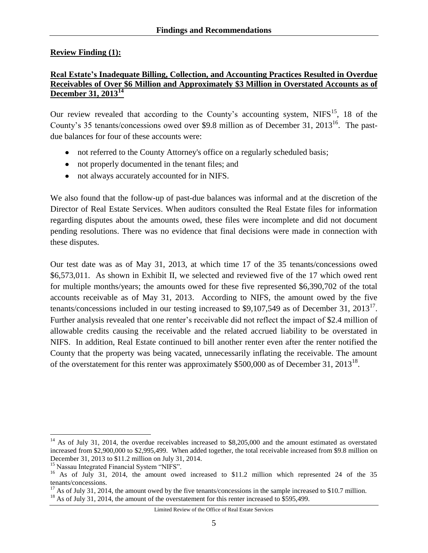#### <span id="page-11-0"></span>**Review Finding (1):**

#### <span id="page-11-1"></span>**Real Estate's Inadequate Billing, Collection, and Accounting Practices Resulted in Overdue Receivables of Over \$6 Million and Approximately \$3 Million in Overstated Accounts as of December 31, 2013 14**

Our review revealed that according to the County's accounting system,  $NIFS^{15}$ , 18 of the County's 35 tenants/concessions owed over \$9.8 million as of December 31, 2013<sup>16</sup>. The pastdue balances for four of these accounts were:

- not referred to the County Attorney's office on a regularly scheduled basis;
- not properly documented in the tenant files; and
- not always accurately accounted for in NIFS.

We also found that the follow-up of past-due balances was informal and at the discretion of the Director of Real Estate Services. When auditors consulted the Real Estate files for information regarding disputes about the amounts owed, these files were incomplete and did not document pending resolutions. There was no evidence that final decisions were made in connection with these disputes.

Our test date was as of May 31, 2013, at which time 17 of the 35 tenants/concessions owed \$6,573,011. As shown in Exhibit II, we selected and reviewed five of the 17 which owed rent for multiple months/years; the amounts owed for these five represented \$6,390,702 of the total accounts receivable as of May 31, 2013. According to NIFS, the amount owed by the five tenants/concessions included in our testing increased to \$9,107,549 as of December 31, 2013<sup>17</sup>. Further analysis revealed that one renter's receivable did not reflect the impact of \$2.4 million of allowable credits causing the receivable and the related accrued liability to be overstated in NIFS. In addition, Real Estate continued to bill another renter even after the renter notified the County that the property was being vacated, unnecessarily inflating the receivable. The amount of the overstatement for this renter was approximately \$500,000 as of December 31, 2013<sup>18</sup>.

 $\overline{a}$ 

Limited Review of the Office of Real Estate Services

<sup>&</sup>lt;sup>14</sup> As of July 31, 2014, the overdue receivables increased to \$8,205,000 and the amount estimated as overstated increased from \$2,900,000 to \$2,995,499. When added together, the total receivable increased from \$9.8 million on December 31, 2013 to \$11.2 million on July 31, 2014.

<sup>&</sup>lt;sup>15</sup> Nassau Integrated Financial System "NIFS".

<sup>&</sup>lt;sup>16</sup> As of July 31, 2014, the amount owed increased to \$11.2 million which represented 24 of the 35 tenants/concessions.

 $17$  As of July 31, 2014, the amount owed by the five tenants/concessions in the sample increased to \$10.7 million.

 $^{18}$  As of July 31, 2014, the amount of the overstatement for this renter increased to \$595,499.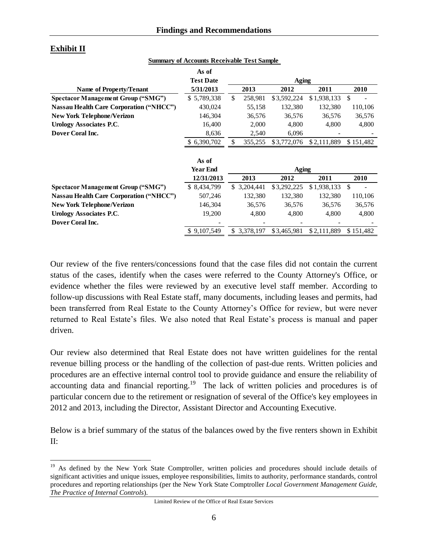|                                                | As of            |                 |              |             |               |
|------------------------------------------------|------------------|-----------------|--------------|-------------|---------------|
|                                                | <b>Test Date</b> |                 | <b>Aging</b> |             |               |
| Name of Property/Tenant                        | 5/31/2013        | 2013            | 2012         | 2011        | 2010          |
| <b>Spectacor Management Group ("SMG")</b>      | \$5,789,338      | \$<br>258,981   | \$3,592,224  | \$1,938,133 | $\mathcal{S}$ |
| <b>Nassau Health Care Corporation ("NHCC")</b> | 430,024          | 55,158          | 132,380      | 132,380     | 110,106       |
| <b>New York Telephone/Verizon</b>              | 146,304          | 36,576          | 36,576       | 36,576      | 36,576        |
| <b>Urology Associates P.C.</b>                 | 16,400           | 2,000           | 4,800        | 4,800       | 4,800         |
| Dover Coral Inc.                               | 8,636            | 2,540           | 6,096        |             |               |
|                                                | \$6,390,702      | \$<br>355,255   | \$3,772,076  | \$2,111,889 | \$151,482     |
|                                                |                  |                 |              |             |               |
|                                                | As of            |                 |              |             |               |
|                                                | <b>Year End</b>  |                 | Aging        |             |               |
|                                                | 12/31/2013       | 2013            | 2012         | 2011        | 2010          |
| <b>Spectacor Management Group ("SMG")</b>      | \$ 8,434,799     | \$3,204,441     | \$3,292,225  | \$1,938,133 | <sup>\$</sup> |
| <b>Nassau Health Care Corporation ("NHCC")</b> | 507,246          | 132,380         | 132,380      | 132,380     | 110,106       |
| <b>New York Telephone/Verizon</b>              | 146,304          | 36,576          | 36,576       | 36,576      | 36,576        |
| <b>Urology Associates P.C.</b>                 | 19,200           | 4,800           | 4,800        | 4,800       | 4,800         |
| Dover Coral Inc.                               |                  |                 |              |             |               |
|                                                | \$9,107,549      | \$<br>3,378,197 | \$3,465,981  | \$2,111,889 | \$151,482     |

#### **Exhibit II**

 $\overline{a}$ 

**Summary of Accounts Receivable Test Sample** 

Our review of the five renters/concessions found that the case files did not contain the current status of the cases, identify when the cases were referred to the County Attorney's Office, or evidence whether the files were reviewed by an executive level staff member. According to follow-up discussions with Real Estate staff, many documents, including leases and permits, had been transferred from Real Estate to the County Attorney's Office for review, but were never returned to Real Estate's files. We also noted that Real Estate's process is manual and paper driven.

Our review also determined that Real Estate does not have written guidelines for the rental revenue billing process or the handling of the collection of past-due rents. Written policies and procedures are an effective internal control tool to provide guidance and ensure the reliability of accounting data and financial reporting.<sup>19</sup> The lack of written policies and procedures is of particular concern due to the retirement or resignation of several of the Office's key employees in 2012 and 2013, including the Director, Assistant Director and Accounting Executive.

Below is a brief summary of the status of the balances owed by the five renters shown in Exhibit II:

<sup>&</sup>lt;sup>19</sup> As defined by the New York State Comptroller, written policies and procedures should include details of significant activities and unique issues, employee responsibilities, limits to authority, performance standards, control procedures and reporting relationships (per the New York State Comptroller *Local Government Management Guide, The Practice of Internal Controls*).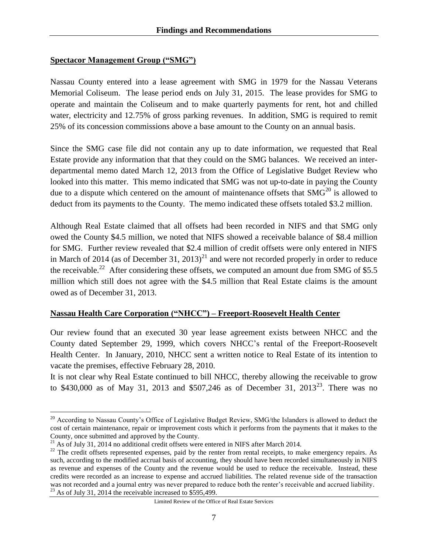#### **Spectacor Management Group ("SMG")**

Nassau County entered into a lease agreement with SMG in 1979 for the Nassau Veterans Memorial Coliseum. The lease period ends on July 31, 2015. The lease provides for SMG to operate and maintain the Coliseum and to make quarterly payments for rent, hot and chilled water, electricity and 12.75% of gross parking revenues. In addition, SMG is required to remit 25% of its concession commissions above a base amount to the County on an annual basis.

Since the SMG case file did not contain any up to date information, we requested that Real Estate provide any information that that they could on the SMG balances. We received an interdepartmental memo dated March 12, 2013 from the Office of Legislative Budget Review who looked into this matter. This memo indicated that SMG was not up-to-date in paying the County due to a dispute which centered on the amount of maintenance offsets that  $SMG<sup>20</sup>$  is allowed to deduct from its payments to the County. The memo indicated these offsets totaled \$3.2 million.

Although Real Estate claimed that all offsets had been recorded in NIFS and that SMG only owed the County \$4.5 million, we noted that NIFS showed a receivable balance of \$8.4 million for SMG. Further review revealed that \$2.4 million of credit offsets were only entered in NIFS in March of 2014 (as of December 31, 2013)<sup>21</sup> and were not recorded properly in order to reduce the receivable.<sup>22</sup> After considering these offsets, we computed an amount due from SMG of \$5.5 million which still does not agree with the \$4.5 million that Real Estate claims is the amount owed as of December 31, 2013.

#### **Nassau Health Care Corporation ("NHCC") – Freeport-Roosevelt Health Center**

Our review found that an executed 30 year lease agreement exists between NHCC and the County dated September 29, 1999, which covers NHCC's rental of the Freeport-Roosevelt Health Center. In January, 2010, NHCC sent a written notice to Real Estate of its intention to vacate the premises, effective February 28, 2010.

It is not clear why Real Estate continued to bill NHCC, thereby allowing the receivable to grow to \$430,000 as of May 31, 2013 and \$507,246 as of December 31, 2013<sup>23</sup>. There was no

 $\overline{a}$ 

<sup>&</sup>lt;sup>20</sup> According to Nassau County's Office of Legislative Budget Review, SMG/the Islanders is allowed to deduct the cost of certain maintenance, repair or improvement costs which it performs from the payments that it makes to the County, once submitted and approved by the County.

 $^{21}$  As of July 31, 2014 no additional credit offsets were entered in NIFS after March 2014.

<sup>&</sup>lt;sup>22</sup> The credit offsets represented expenses, paid by the renter from rental receipts, to make emergency repairs. As such, according to the modified accrual basis of accounting, they should have been recorded simultaneously in NIFS as revenue and expenses of the County and the revenue would be used to reduce the receivable. Instead, these credits were recorded as an increase to expense and accrued liabilities. The related revenue side of the transaction was not recorded and a journal entry was never prepared to reduce both the renter's receivable and accrued liability. <sup>23</sup> As of July 31, 2014 the receivable increased to \$595,499.

Limited Review of the Office of Real Estate Services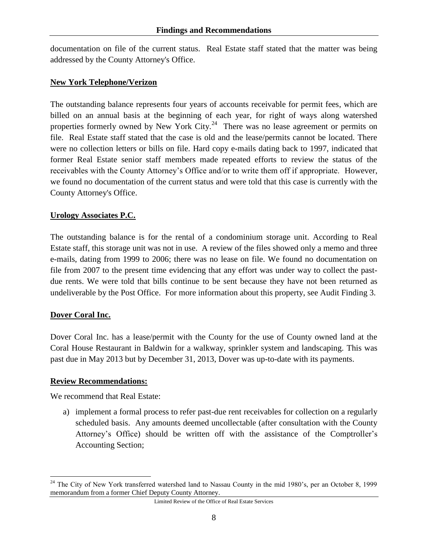documentation on file of the current status. Real Estate staff stated that the matter was being addressed by the County Attorney's Office.

#### **New York Telephone/Verizon**

The outstanding balance represents four years of accounts receivable for permit fees, which are billed on an annual basis at the beginning of each year, for right of ways along watershed properties formerly owned by New York City. $24$  There was no lease agreement or permits on file. Real Estate staff stated that the case is old and the lease/permits cannot be located. There were no collection letters or bills on file. Hard copy e-mails dating back to 1997, indicated that former Real Estate senior staff members made repeated efforts to review the status of the receivables with the County Attorney's Office and/or to write them off if appropriate. However, we found no documentation of the current status and were told that this case is currently with the County Attorney's Office.

#### **Urology Associates P.C.**

The outstanding balance is for the rental of a condominium storage unit. According to Real Estate staff, this storage unit was not in use. A review of the files showed only a memo and three e-mails, dating from 1999 to 2006; there was no lease on file. We found no documentation on file from 2007 to the present time evidencing that any effort was under way to collect the pastdue rents. We were told that bills continue to be sent because they have not been returned as undeliverable by the Post Office. For more information about this property, see Audit Finding 3.

#### **Dover Coral Inc.**

 $\overline{a}$ 

Dover Coral Inc. has a lease/permit with the County for the use of County owned land at the Coral House Restaurant in Baldwin for a walkway, sprinkler system and landscaping. This was past due in May 2013 but by December 31, 2013, Dover was up-to-date with its payments.

#### **Review Recommendations:**

We recommend that Real Estate:

a) implement a formal process to refer past-due rent receivables for collection on a regularly scheduled basis. Any amounts deemed uncollectable (after consultation with the County Attorney's Office) should be written off with the assistance of the Comptroller's Accounting Section;

<sup>&</sup>lt;sup>24</sup> The City of New York transferred watershed land to Nassau County in the mid 1980's, per an October 8, 1999 memorandum from a former Chief Deputy County Attorney.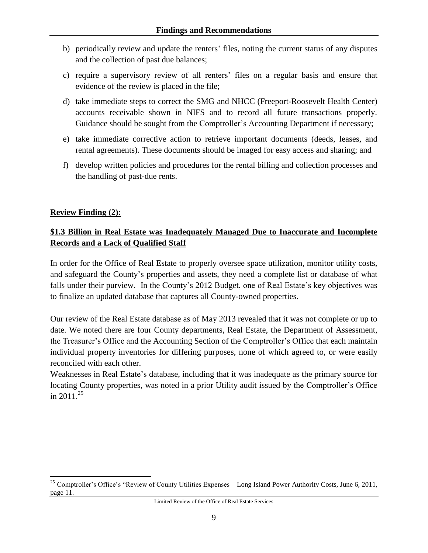- b) periodically review and update the renters' files, noting the current status of any disputes and the collection of past due balances;
- c) require a supervisory review of all renters' files on a regular basis and ensure that evidence of the review is placed in the file;
- d) take immediate steps to correct the SMG and NHCC (Freeport-Roosevelt Health Center) accounts receivable shown in NIFS and to record all future transactions properly. Guidance should be sought from the Comptroller's Accounting Department if necessary;
- e) take immediate corrective action to retrieve important documents (deeds, leases, and rental agreements). These documents should be imaged for easy access and sharing; and
- f) develop written policies and procedures for the rental billing and collection processes and the handling of past-due rents.

### **Review Finding (2):**

 $\overline{a}$ 

### <span id="page-15-0"></span>**\$1.3 Billion in Real Estate was Inadequately Managed Due to Inaccurate and Incomplete Records and a Lack of Qualified Staff**

In order for the Office of Real Estate to properly oversee space utilization, monitor utility costs, and safeguard the County's properties and assets, they need a complete list or database of what falls under their purview. In the County's 2012 Budget, one of Real Estate's key objectives was to finalize an updated database that captures all County-owned properties.

Our review of the Real Estate database as of May 2013 revealed that it was not complete or up to date. We noted there are four County departments, Real Estate, the Department of Assessment, the Treasurer's Office and the Accounting Section of the Comptroller's Office that each maintain individual property inventories for differing purposes, none of which agreed to, or were easily reconciled with each other.

Weaknesses in Real Estate's database, including that it was inadequate as the primary source for locating County properties, was noted in a prior Utility audit issued by the Comptroller's Office in  $2011^{25}$ 

<sup>&</sup>lt;sup>25</sup> Comptroller's Office's "Review of County Utilities Expenses – Long Island Power Authority Costs, June 6, 2011, page 11.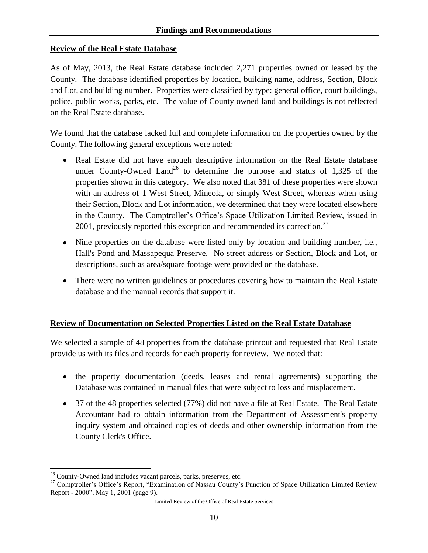### **Review of the Real Estate Database**

As of May, 2013, the Real Estate database included 2,271 properties owned or leased by the County. The database identified properties by location, building name, address, Section, Block and Lot, and building number. Properties were classified by type: general office, court buildings, police, public works, parks, etc. The value of County owned land and buildings is not reflected on the Real Estate database.

We found that the database lacked full and complete information on the properties owned by the County. The following general exceptions were noted:

- Real Estate did not have enough descriptive information on the Real Estate database under County-Owned Land<sup>26</sup> to determine the purpose and status of 1,325 of the properties shown in this category. We also noted that 381 of these properties were shown with an address of 1 West Street, Mineola, or simply West Street, whereas when using their Section, Block and Lot information, we determined that they were located elsewhere in the County. The Comptroller's Office's Space Utilization Limited Review, issued in 2001, previously reported this exception and recommended its correction.<sup>27</sup>
- Nine properties on the database were listed only by location and building number, i.e., Hall's Pond and Massapequa Preserve. No street address or Section, Block and Lot, or descriptions, such as area/square footage were provided on the database.
- There were no written guidelines or procedures covering how to maintain the Real Estate database and the manual records that support it.

#### **Review of Documentation on Selected Properties Listed on the Real Estate Database**

We selected a sample of 48 properties from the database printout and requested that Real Estate provide us with its files and records for each property for review. We noted that:

- the property documentation (deeds, leases and rental agreements) supporting the Database was contained in manual files that were subject to loss and misplacement.
- 37 of the 48 properties selected (77%) did not have a file at Real Estate. The Real Estate Accountant had to obtain information from the Department of Assessment's property inquiry system and obtained copies of deeds and other ownership information from the County Clerk's Office.

 $\overline{a}$ 

 $26$  County-Owned land includes vacant parcels, parks, preserves, etc.

<sup>&</sup>lt;sup>27</sup> Comptroller's Office's Report, "Examination of Nassau County's Function of Space Utilization Limited Review Report - 2000", May 1, 2001 (page 9).

Limited Review of the Office of Real Estate Services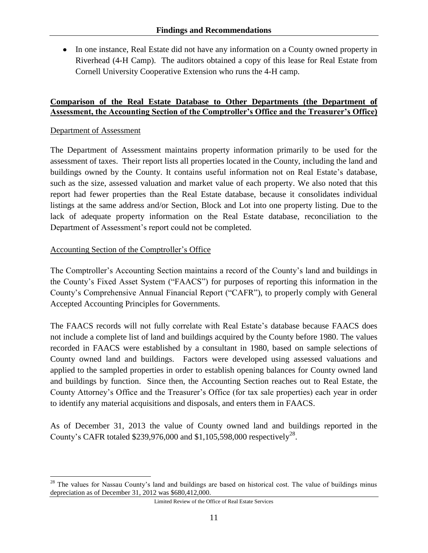• In one instance, Real Estate did not have any information on a County owned property in Riverhead (4-H Camp). The auditors obtained a copy of this lease for Real Estate from Cornell University Cooperative Extension who runs the 4-H camp.

#### **Comparison of the Real Estate Database to Other Departments (the Department of Assessment, the Accounting Section of the Comptroller's Office and the Treasurer's Office)**

#### Department of Assessment

 $\overline{a}$ 

The Department of Assessment maintains property information primarily to be used for the assessment of taxes. Their report lists all properties located in the County, including the land and buildings owned by the County. It contains useful information not on Real Estate's database, such as the size, assessed valuation and market value of each property. We also noted that this report had fewer properties than the Real Estate database, because it consolidates individual listings at the same address and/or Section, Block and Lot into one property listing. Due to the lack of adequate property information on the Real Estate database, reconciliation to the Department of Assessment's report could not be completed.

#### Accounting Section of the Comptroller's Office

The Comptroller's Accounting Section maintains a record of the County's land and buildings in the County's Fixed Asset System ("FAACS") for purposes of reporting this information in the County's Comprehensive Annual Financial Report ("CAFR"), to properly comply with General Accepted Accounting Principles for Governments.

The FAACS records will not fully correlate with Real Estate's database because FAACS does not include a complete list of land and buildings acquired by the County before 1980. The values recorded in FAACS were established by a consultant in 1980, based on sample selections of County owned land and buildings. Factors were developed using assessed valuations and applied to the sampled properties in order to establish opening balances for County owned land and buildings by function. Since then, the Accounting Section reaches out to Real Estate, the County Attorney's Office and the Treasurer's Office (for tax sale properties) each year in order to identify any material acquisitions and disposals, and enters them in FAACS.

As of December 31, 2013 the value of County owned land and buildings reported in the County's CAFR totaled \$239,976,000 and \$1,105,598,000 respectively<sup>28</sup>.

<sup>&</sup>lt;sup>28</sup> The values for Nassau County's land and buildings are based on historical cost. The value of buildings minus depreciation as of December 31, 2012 was \$680,412,000.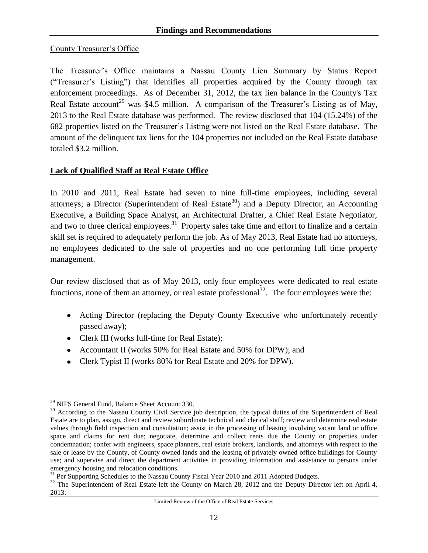#### County Treasurer's Office

The Treasurer's Office maintains a Nassau County Lien Summary by Status Report ("Treasurer's Listing") that identifies all properties acquired by the County through tax enforcement proceedings. As of December 31, 2012, the tax lien balance in the County's Tax Real Estate account<sup>29</sup> was \$4.5 million. A comparison of the Treasurer's Listing as of May, 2013 to the Real Estate database was performed. The review disclosed that 104 (15.24%) of the 682 properties listed on the Treasurer's Listing were not listed on the Real Estate database. The amount of the delinquent tax liens for the 104 properties not included on the Real Estate database totaled \$3.2 million.

#### **Lack of Qualified Staff at Real Estate Office**

In 2010 and 2011, Real Estate had seven to nine full-time employees, including several attorneys; a Director (Superintendent of Real Estate<sup>30</sup>) and a Deputy Director, an Accounting Executive, a Building Space Analyst, an Architectural Drafter, a Chief Real Estate Negotiator, and two to three clerical employees.<sup>31</sup> Property sales take time and effort to finalize and a certain skill set is required to adequately perform the job. As of May 2013, Real Estate had no attorneys, no employees dedicated to the sale of properties and no one performing full time property management.

Our review disclosed that as of May 2013, only four employees were dedicated to real estate functions, none of them an attorney, or real estate professional<sup>32</sup>. The four employees were the:

- Acting Director (replacing the Deputy County Executive who unfortunately recently passed away);
- Clerk III (works full-time for Real Estate);
- Accountant II (works 50% for Real Estate and 50% for DPW); and
- Clerk Typist II (works 80% for Real Estate and 20% for DPW).

 $\overline{a}$ <sup>29</sup> NIFS General Fund, Balance Sheet Account 330.

<sup>&</sup>lt;sup>30</sup> According to the Nassau County Civil Service job description, the typical duties of the Superintendent of Real Estate are to plan, assign, direct and review subordinate technical and clerical staff; review and determine real estate values through field inspection and consultation; assist in the processing of leasing involving vacant land or office space and claims for rent due; negotiate, determine and collect rents due the County or properties under condemnation; confer with engineers, space planners, real estate brokers, landlords, and attorneys with respect to the sale or lease by the County, of County owned lands and the leasing of privately owned office buildings for County use; and supervise and direct the department activities in providing information and assistance to persons under emergency housing and relocation conditions.

<sup>&</sup>lt;sup>31</sup> Per Supporting Schedules to the Nassau County Fiscal Year 2010 and 2011 Adopted Budgets.

<sup>&</sup>lt;sup>32</sup> The Superintendent of Real Estate left the County on March 28, 2012 and the Deputy Director left on April 4, 2013.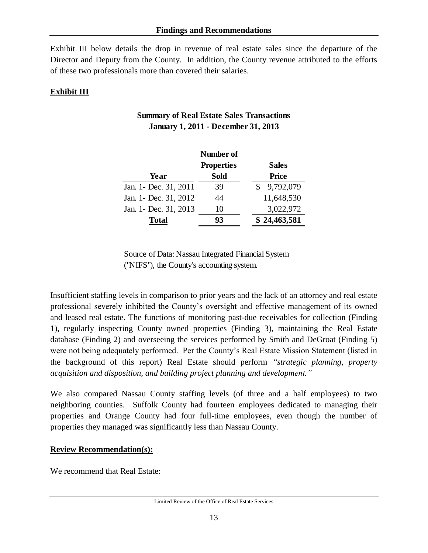Exhibit III below details the drop in revenue of real estate sales since the departure of the Director and Deputy from the County. In addition, the County revenue attributed to the efforts of these two professionals more than covered their salaries.

## **Exhibit III**

|                        | Number of         |              |
|------------------------|-------------------|--------------|
|                        | <b>Properties</b> | <b>Sales</b> |
| Year                   | <b>Sold</b>       | <b>Price</b> |
| Jan. 1 - Dec. 31, 2011 | 39                | 9,792,079    |
| Jan. 1- Dec. 31, 2012  | 44                | 11,648,530   |
| Jan. 1 - Dec. 31, 2013 | 10                | 3,022,972    |
| <b>Total</b>           | 93                | \$24,463,581 |

### **Summary of Real Estate Sales Transactions January 1, 2011 - December 31, 2013**

Source of Data: Nassau Integrated Financial System ("NIFS"), the County's accounting system.

Insufficient staffing levels in comparison to prior years and the lack of an attorney and real estate professional severely inhibited the County's oversight and effective management of its owned and leased real estate. The functions of monitoring past-due receivables for collection (Finding 1), regularly inspecting County owned properties (Finding 3), maintaining the Real Estate database (Finding 2) and overseeing the services performed by Smith and DeGroat (Finding 5) were not being adequately performed. Per the County's Real Estate Mission Statement (listed in the background of this report) Real Estate should perform *"strategic planning, property acquisition and disposition, and building project planning and development."* 

We also compared Nassau County staffing levels (of three and a half employees) to two neighboring counties. Suffolk County had fourteen employees dedicated to managing their properties and Orange County had four full-time employees, even though the number of properties they managed was significantly less than Nassau County.

### **Review Recommendation(s):**

We recommend that Real Estate: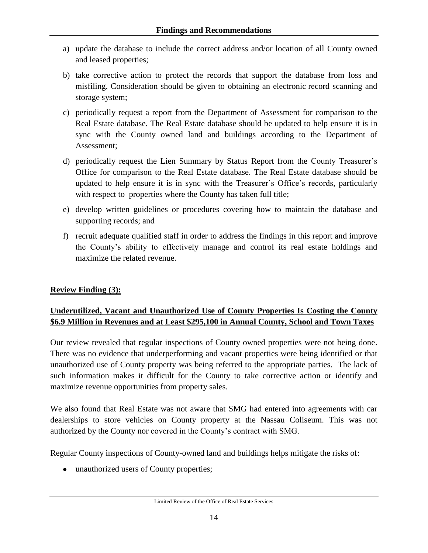- a) update the database to include the correct address and/or location of all County owned and leased properties;
- b) take corrective action to protect the records that support the database from loss and misfiling. Consideration should be given to obtaining an electronic record scanning and storage system;
- c) periodically request a report from the Department of Assessment for comparison to the Real Estate database. The Real Estate database should be updated to help ensure it is in sync with the County owned land and buildings according to the Department of Assessment;
- d) periodically request the Lien Summary by Status Report from the County Treasurer's Office for comparison to the Real Estate database. The Real Estate database should be updated to help ensure it is in sync with the Treasurer's Office's records, particularly with respect to properties where the County has taken full title;
- e) develop written guidelines or procedures covering how to maintain the database and supporting records; and
- f) recruit adequate qualified staff in order to address the findings in this report and improve the County's ability to effectively manage and control its real estate holdings and maximize the related revenue.

### **Review Finding (3):**

### <span id="page-20-0"></span>**Underutilized, Vacant and Unauthorized Use of County Properties Is Costing the County \$6.9 Million in Revenues and at Least \$295,100 in Annual County, School and Town Taxes**

Our review revealed that regular inspections of County owned properties were not being done. There was no evidence that underperforming and vacant properties were being identified or that unauthorized use of County property was being referred to the appropriate parties. The lack of such information makes it difficult for the County to take corrective action or identify and maximize revenue opportunities from property sales.

We also found that Real Estate was not aware that SMG had entered into agreements with car dealerships to store vehicles on County property at the Nassau Coliseum. This was not authorized by the County nor covered in the County's contract with SMG.

Regular County inspections of County-owned land and buildings helps mitigate the risks of:

• unauthorized users of County properties;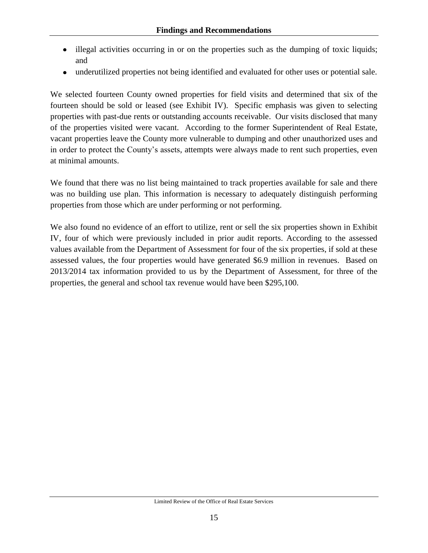- illegal activities occurring in or on the properties such as the dumping of toxic liquids;  $\bullet$ and
- underutilized properties not being identified and evaluated for other uses or potential sale.  $\bullet$

We selected fourteen County owned properties for field visits and determined that six of the fourteen should be sold or leased (see Exhibit IV). Specific emphasis was given to selecting properties with past-due rents or outstanding accounts receivable. Our visits disclosed that many of the properties visited were vacant. According to the former Superintendent of Real Estate, vacant properties leave the County more vulnerable to dumping and other unauthorized uses and in order to protect the County's assets, attempts were always made to rent such properties, even at minimal amounts.

We found that there was no list being maintained to track properties available for sale and there was no building use plan. This information is necessary to adequately distinguish performing properties from those which are under performing or not performing.

We also found no evidence of an effort to utilize, rent or sell the six properties shown in Exhibit IV, four of which were previously included in prior audit reports. According to the assessed values available from the Department of Assessment for four of the six properties, if sold at these assessed values, the four properties would have generated \$6.9 million in revenues. Based on 2013/2014 tax information provided to us by the Department of Assessment, for three of the properties, the general and school tax revenue would have been \$295,100.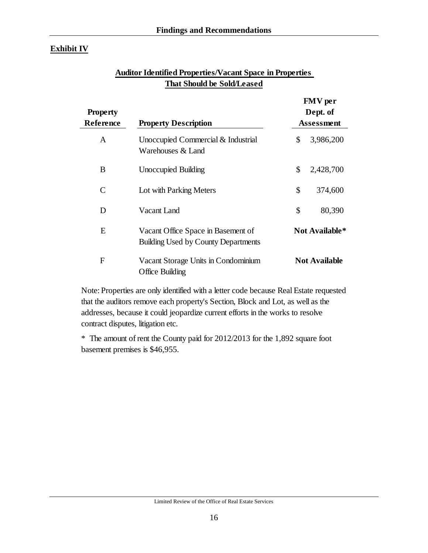### **Exhibit IV**

| <b>Property</b><br><b>Property Description</b><br>Reference |                                                                                  | <b>FMV</b> per<br>Dept. of<br><b>Assessment</b> |                       |  |  |
|-------------------------------------------------------------|----------------------------------------------------------------------------------|-------------------------------------------------|-----------------------|--|--|
| A                                                           | Unoccupied Commercial & Industrial<br>Warehouses & Land                          | \$                                              | 3,986,200             |  |  |
| B                                                           | <b>Unoccupied Building</b>                                                       | \$                                              | 2,428,700             |  |  |
| C                                                           | Lot with Parking Meters                                                          | \$                                              | 374,600               |  |  |
| D                                                           | Vacant Land                                                                      | \$                                              | 80,390                |  |  |
| E                                                           | Vacant Office Space in Basement of<br><b>Building Used by County Departments</b> |                                                 | <b>Not Available*</b> |  |  |
| F                                                           | Vacant Storage Units in Condominium<br>Office Building                           |                                                 | <b>Not Available</b>  |  |  |

### **Auditor Identified Properties/Vacant Space in Properties That Should be Sold/Leased**

Note: Properties are only identified with a letter code because Real Estate requested that the auditors remove each property's Section, Block and Lot, as well as the addresses, because it could jeopardize current efforts in the works to resolve contract disputes, litigation etc.

\* The amount of rent the County paid for 2012/2013 for the 1,892 square foot basement premises is \$46,955.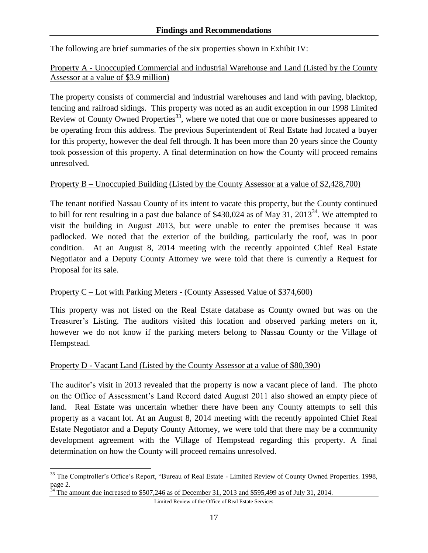The following are brief summaries of the six properties shown in Exhibit IV:

#### Property A - Unoccupied Commercial and industrial Warehouse and Land (Listed by the County Assessor at a value of \$3.9 million)

The property consists of commercial and industrial warehouses and land with paving, blacktop, fencing and railroad sidings. This property was noted as an audit exception in our 1998 Limited Review of County Owned Properties<sup>33</sup>, where we noted that one or more businesses appeared to be operating from this address. The previous Superintendent of Real Estate had located a buyer for this property, however the deal fell through. It has been more than 20 years since the County took possession of this property. A final determination on how the County will proceed remains unresolved.

#### Property B – Unoccupied Building (Listed by the County Assessor at a value of \$2,428,700)

The tenant notified Nassau County of its intent to vacate this property, but the County continued to bill for rent resulting in a past due balance of  $$430,024$  as of May 31,  $2013^{34}$ . We attempted to visit the building in August 2013, but were unable to enter the premises because it was padlocked. We noted that the exterior of the building, particularly the roof, was in poor condition. At an August 8, 2014 meeting with the recently appointed Chief Real Estate Negotiator and a Deputy County Attorney we were told that there is currently a Request for Proposal for its sale.

### Property C – Lot with Parking Meters - (County Assessed Value of \$374,600)

This property was not listed on the Real Estate database as County owned but was on the Treasurer's Listing. The auditors visited this location and observed parking meters on it, however we do not know if the parking meters belong to Nassau County or the Village of Hempstead.

### Property D - Vacant Land (Listed by the County Assessor at a value of \$80,390)

The auditor's visit in 2013 revealed that the property is now a vacant piece of land. The photo on the Office of Assessment's Land Record dated August 2011 also showed an empty piece of land. Real Estate was uncertain whether there have been any County attempts to sell this property as a vacant lot. At an August 8, 2014 meeting with the recently appointed Chief Real Estate Negotiator and a Deputy County Attorney, we were told that there may be a community development agreement with the Village of Hempstead regarding this property. A final determination on how the County will proceed remains unresolved.

```
Limited Review of the Office of Real Estate Services
```
 $\overline{a}$ <sup>33</sup> The Comptroller's Office's Report, "Bureau of Real Estate - Limited Review of County Owned Properties, 1998, page 2.

 $34$  The amount due increased to \$507,246 as of December 31, 2013 and \$595,499 as of July 31, 2014.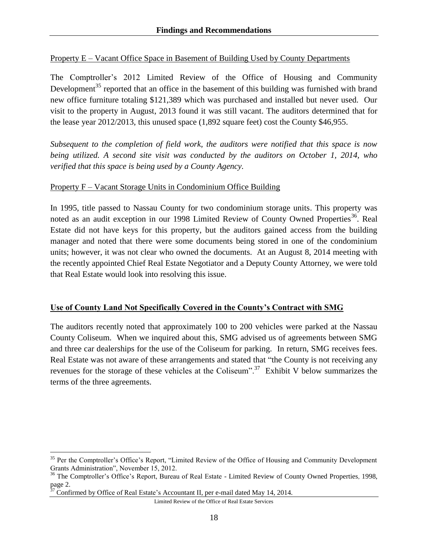#### Property E – Vacant Office Space in Basement of Building Used by County Departments

The Comptroller's 2012 Limited Review of the Office of Housing and Community Development<sup>35</sup> reported that an office in the basement of this building was furnished with brand new office furniture totaling \$121,389 which was purchased and installed but never used. Our visit to the property in August, 2013 found it was still vacant. The auditors determined that for the lease year 2012/2013, this unused space (1,892 square feet) cost the County \$46,955.

*Subsequent to the completion of field work, the auditors were notified that this space is now being utilized. A second site visit was conducted by the auditors on October 1, 2014, who verified that this space is being used by a County Agency.* 

#### Property F – Vacant Storage Units in Condominium Office Building

In 1995, title passed to Nassau County for two condominium storage units. This property was noted as an audit exception in our 1998 Limited Review of County Owned Properties<sup>36</sup>. Real Estate did not have keys for this property, but the auditors gained access from the building manager and noted that there were some documents being stored in one of the condominium units; however, it was not clear who owned the documents. At an August 8, 2014 meeting with the recently appointed Chief Real Estate Negotiator and a Deputy County Attorney, we were told that Real Estate would look into resolving this issue.

#### **Use of County Land Not Specifically Covered in the County's Contract with SMG**

The auditors recently noted that approximately 100 to 200 vehicles were parked at the Nassau County Coliseum. When we inquired about this, SMG advised us of agreements between SMG and three car dealerships for the use of the Coliseum for parking. In return, SMG receives fees. Real Estate was not aware of these arrangements and stated that "the County is not receiving any revenues for the storage of these vehicles at the Coliseum".<sup>37</sup> Exhibit V below summarizes the terms of the three agreements.

 $\overline{a}$ 

Limited Review of the Office of Real Estate Services

<sup>&</sup>lt;sup>35</sup> Per the Comptroller's Office's Report, "Limited Review of the Office of Housing and Community Development Grants Administration", November 15, 2012.

<sup>&</sup>lt;sup>36</sup> The Comptroller's Office's Report, Bureau of Real Estate - Limited Review of County Owned Properties, 1998, page 2.

 $37$  Confirmed by Office of Real Estate's Accountant II, per e-mail dated May 14, 2014.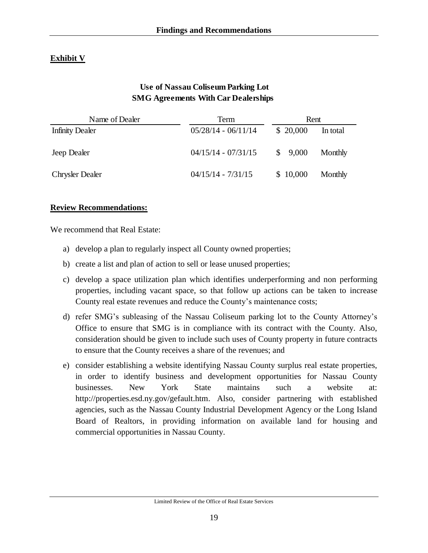### **Exhibit V**

### **Use of Nassau Coliseum Parking Lot SMG Agreements With Car Dealerships**

| Name of Dealer         | Term                  | Rent     |          |  |  |
|------------------------|-----------------------|----------|----------|--|--|
| <b>Infinity Dealer</b> | $05/28/14 - 06/11/14$ | \$20,000 | In total |  |  |
| Jeep Dealer            | $04/15/14 - 07/31/15$ | \$9,000  | Monthly  |  |  |
| <b>Chrysler Dealer</b> | $04/15/14 - 7/31/15$  | \$10,000 | Monthly  |  |  |

#### **Review Recommendations:**

We recommend that Real Estate:

- a) develop a plan to regularly inspect all County owned properties;
- b) create a list and plan of action to sell or lease unused properties;
- c) develop a space utilization plan which identifies underperforming and non performing properties, including vacant space, so that follow up actions can be taken to increase County real estate revenues and reduce the County's maintenance costs;
- d) refer SMG's subleasing of the Nassau Coliseum parking lot to the County Attorney's Office to ensure that SMG is in compliance with its contract with the County. Also, consideration should be given to include such uses of County property in future contracts to ensure that the County receives a share of the revenues; and
- e) consider establishing a website identifying Nassau County surplus real estate properties, in order to identify business and development opportunities for Nassau County businesses. New York State maintains such a website at: [http://properties.esd.ny.gov/gefault.htm.](http://properties.esd.ny.gov/gefault.htm) Also, consider partnering with established agencies, such as the Nassau County Industrial Development Agency or the Long Island Board of Realtors, in providing information on available land for housing and commercial opportunities in Nassau County.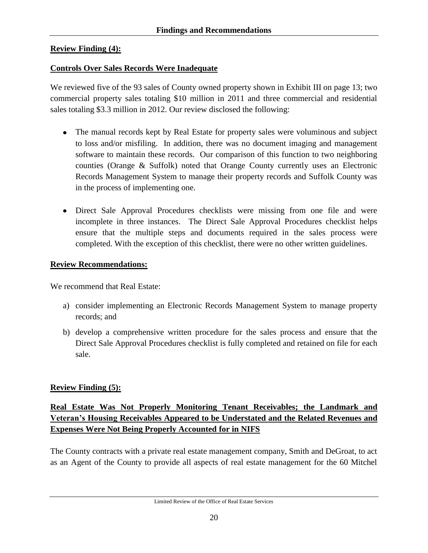### **Review Finding (4):**

### <span id="page-26-0"></span>**Controls Over Sales Records Were Inadequate**

We reviewed five of the 93 sales of County owned property shown in Exhibit III on page 13; two commercial property sales totaling \$10 million in 2011 and three commercial and residential sales totaling \$3.3 million in 2012. Our review disclosed the following:

- The manual records kept by Real Estate for property sales were voluminous and subject to loss and/or misfiling. In addition, there was no document imaging and management software to maintain these records. Our comparison of this function to two neighboring counties (Orange & Suffolk) noted that Orange County currently uses an Electronic Records Management System to manage their property records and Suffolk County was in the process of implementing one.
- Direct Sale Approval Procedures checklists were missing from one file and were incomplete in three instances. The Direct Sale Approval Procedures checklist helps ensure that the multiple steps and documents required in the sales process were completed. With the exception of this checklist, there were no other written guidelines.

#### **Review Recommendations:**

We recommend that Real Estate:

- a) consider implementing an Electronic Records Management System to manage property records; and
- b) develop a comprehensive written procedure for the sales process and ensure that the Direct Sale Approval Procedures checklist is fully completed and retained on file for each sale.

### **Review Finding (5):**

### <span id="page-26-1"></span>**Real Estate Was Not Properly Monitoring Tenant Receivables; the Landmark and Veteran's Housing Receivables Appeared to be Understated and the Related Revenues and Expenses Were Not Being Properly Accounted for in NIFS**

The County contracts with a private real estate management company, Smith and DeGroat, to act as an Agent of the County to provide all aspects of real estate management for the 60 Mitchel

Limited Review of the Office of Real Estate Services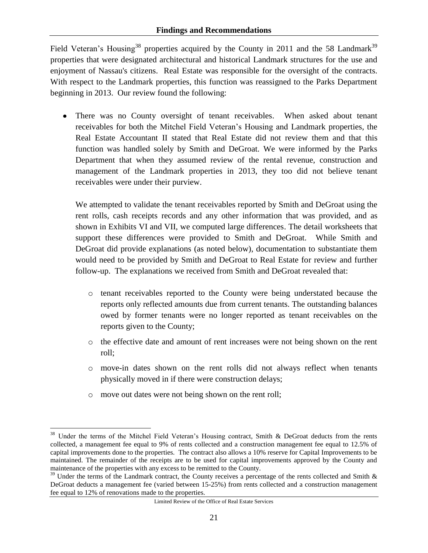Field Veteran's Housing<sup>38</sup> properties acquired by the County in 2011 and the 58 Landmark<sup>39</sup> properties that were designated architectural and historical Landmark structures for the use and enjoyment of Nassau's citizens. Real Estate was responsible for the oversight of the contracts. With respect to the Landmark properties, this function was reassigned to the Parks Department beginning in 2013. Our review found the following:

There was no County oversight of tenant receivables. When asked about tenant receivables for both the Mitchel Field Veteran's Housing and Landmark properties, the Real Estate Accountant II stated that Real Estate did not review them and that this function was handled solely by Smith and DeGroat. We were informed by the Parks Department that when they assumed review of the rental revenue, construction and management of the Landmark properties in 2013, they too did not believe tenant receivables were under their purview.

We attempted to validate the tenant receivables reported by Smith and DeGroat using the rent rolls, cash receipts records and any other information that was provided, and as shown in Exhibits VI and VII, we computed large differences. The detail worksheets that support these differences were provided to Smith and DeGroat. While Smith and DeGroat did provide explanations (as noted below), documentation to substantiate them would need to be provided by Smith and DeGroat to Real Estate for review and further follow-up. The explanations we received from Smith and DeGroat revealed that:

- o tenant receivables reported to the County were being understated because the reports only reflected amounts due from current tenants. The outstanding balances owed by former tenants were no longer reported as tenant receivables on the reports given to the County;
- o the effective date and amount of rent increases were not being shown on the rent roll;
- o move-in dates shown on the rent rolls did not always reflect when tenants physically moved in if there were construction delays;
- o move out dates were not being shown on the rent roll;

 $\overline{a}$ 

<sup>&</sup>lt;sup>38</sup> Under the terms of the Mitchel Field Veteran's Housing contract, Smith & DeGroat deducts from the rents collected, a management fee equal to 9% of rents collected and a construction management fee equal to 12.5% of capital improvements done to the properties. The contract also allows a 10% reserve for Capital Improvements to be maintained. The remainder of the receipts are to be used for capital improvements approved by the County and maintenance of the properties with any excess to be remitted to the County.

 $39$  Under the terms of the Landmark contract, the County receives a percentage of the rents collected and Smith  $\&$ DeGroat deducts a management fee (varied between 15-25%) from rents collected and a construction management fee equal to 12% of renovations made to the properties.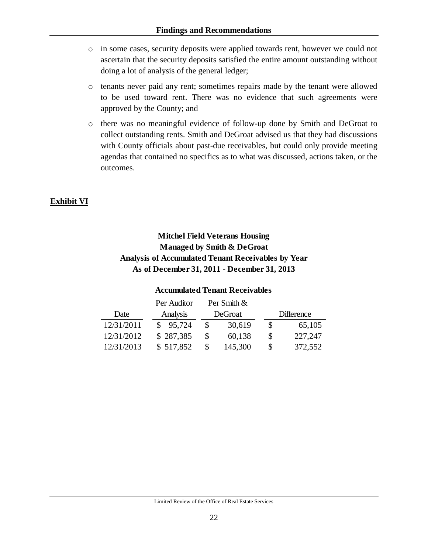- o in some cases, security deposits were applied towards rent, however we could not ascertain that the security deposits satisfied the entire amount outstanding without doing a lot of analysis of the general ledger;
- o tenants never paid any rent; sometimes repairs made by the tenant were allowed to be used toward rent. There was no evidence that such agreements were approved by the County; and
- o there was no meaningful evidence of follow-up done by Smith and DeGroat to collect outstanding rents. Smith and DeGroat advised us that they had discussions with County officials about past-due receivables, but could only provide meeting agendas that contained no specifics as to what was discussed, actions taken, or the outcomes.

## **Exhibit VI**

## **Mitchel Field Veterans Housing Managed by Smith & DeGroat Analysis of Accumulated Tenant Receivables by Year As of December 31, 2011 - December 31, 2013**

| <b>Accumulated Tenant Receivables</b> |           |   |         |    |                   |  |  |  |
|---------------------------------------|-----------|---|---------|----|-------------------|--|--|--|
| Per Smith &<br>Per Auditor            |           |   |         |    |                   |  |  |  |
| Date                                  | Analysis  |   | DeGroat |    | <b>Difference</b> |  |  |  |
| 12/31/2011                            | 95,724    | S | 30,619  | \$ | 65,105            |  |  |  |
| 12/31/2012                            | \$287,385 |   | 60,138  | \$ | 227,247           |  |  |  |
| 12/31/2013                            | \$517,852 |   | 145,300 | S  | 372,552           |  |  |  |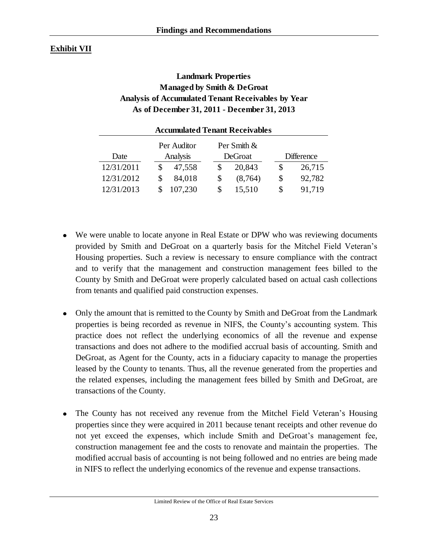### **Exhibit VII**

### **Landmark Properties Managed by Smith & DeGroat Analysis of Accumulated Tenant Receivables by Year As of December 31, 2011 - December 31, 2013**

| <b>Accumulated Tenant Receivables</b> |          |  |         |         |    |                   |  |  |  |
|---------------------------------------|----------|--|---------|---------|----|-------------------|--|--|--|
| Per Smith &<br>Per Auditor            |          |  |         |         |    |                   |  |  |  |
| Date                                  | Analysis |  | DeGroat |         |    | <b>Difference</b> |  |  |  |
| 12/31/2011                            | 47,558   |  | S       | 20,843  | \$ | 26,715            |  |  |  |
| 12/31/2012                            | 84,018   |  | \$      | (8,764) | \$ | 92,782            |  |  |  |
| 12/31/2013                            | 107,230  |  | \$      | 15,510  | \$ | 91,719            |  |  |  |

- We were unable to locate anyone in Real Estate or DPW who was reviewing documents provided by Smith and DeGroat on a quarterly basis for the Mitchel Field Veteran's Housing properties. Such a review is necessary to ensure compliance with the contract and to verify that the management and construction management fees billed to the County by Smith and DeGroat were properly calculated based on actual cash collections from tenants and qualified paid construction expenses.
- Only the amount that is remitted to the County by Smith and DeGroat from the Landmark properties is being recorded as revenue in NIFS, the County's accounting system. This practice does not reflect the underlying economics of all the revenue and expense transactions and does not adhere to the modified accrual basis of accounting. Smith and DeGroat, as Agent for the County, acts in a fiduciary capacity to manage the properties leased by the County to tenants. Thus, all the revenue generated from the properties and the related expenses, including the management fees billed by Smith and DeGroat, are transactions of the County.
- The County has not received any revenue from the Mitchel Field Veteran's Housing properties since they were acquired in 2011 because tenant receipts and other revenue do not yet exceed the expenses, which include Smith and DeGroat's management fee, construction management fee and the costs to renovate and maintain the properties. The modified accrual basis of accounting is not being followed and no entries are being made in NIFS to reflect the underlying economics of the revenue and expense transactions.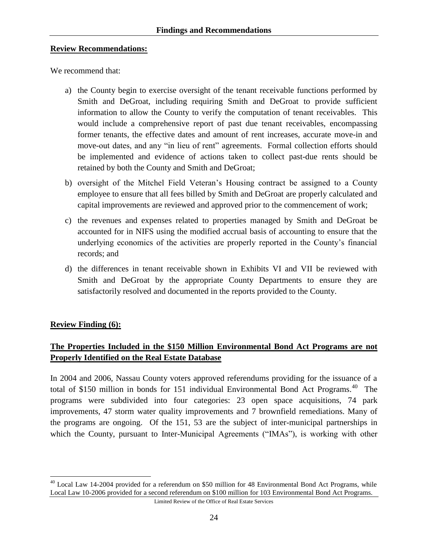#### **Review Recommendations:**

We recommend that:

- a) the County begin to exercise oversight of the tenant receivable functions performed by Smith and DeGroat, including requiring Smith and DeGroat to provide sufficient information to allow the County to verify the computation of tenant receivables. This would include a comprehensive report of past due tenant receivables, encompassing former tenants, the effective dates and amount of rent increases, accurate move-in and move-out dates, and any "in lieu of rent" agreements. Formal collection efforts should be implemented and evidence of actions taken to collect past-due rents should be retained by both the County and Smith and DeGroat;
- b) oversight of the Mitchel Field Veteran's Housing contract be assigned to a County employee to ensure that all fees billed by Smith and DeGroat are properly calculated and capital improvements are reviewed and approved prior to the commencement of work;
- c) the revenues and expenses related to properties managed by Smith and DeGroat be accounted for in NIFS using the modified accrual basis of accounting to ensure that the underlying economics of the activities are properly reported in the County's financial records; and
- d) the differences in tenant receivable shown in Exhibits VI and VII be reviewed with Smith and DeGroat by the appropriate County Departments to ensure they are satisfactorily resolved and documented in the reports provided to the County.

#### **Review Finding (6):**

 $\overline{a}$ 

### <span id="page-30-0"></span>**The Properties Included in the \$150 Million Environmental Bond Act Programs are not Properly Identified on the Real Estate Database**

In 2004 and 2006, Nassau County voters approved referendums providing for the issuance of a total of \$150 million in bonds for 151 individual Environmental Bond Act Programs.<sup>40</sup> The programs were subdivided into four categories: 23 open space acquisitions, 74 park improvements, 47 storm water quality improvements and 7 brownfield remediations. Many of the programs are ongoing. Of the 151, 53 are the subject of inter-municipal partnerships in which the County, pursuant to Inter-Municipal Agreements ("IMAs"), is working with other

<sup>&</sup>lt;sup>40</sup> Local Law 14-2004 provided for a referendum on \$50 million for 48 Environmental Bond Act Programs, while Local Law 10-2006 provided for a second referendum on \$100 million for 103 Environmental Bond Act Programs.

Limited Review of the Office of Real Estate Services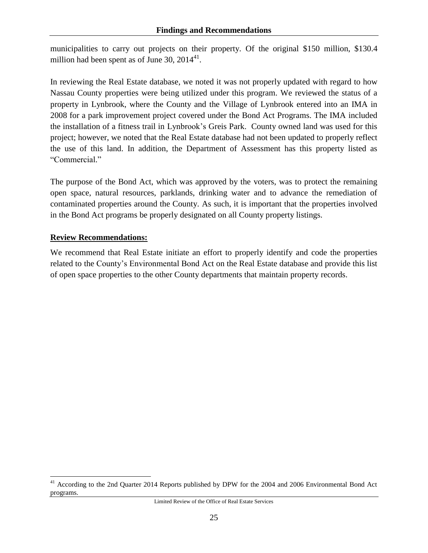municipalities to carry out projects on their property. Of the original \$150 million, \$130.4 million had been spent as of June 30,  $2014^{41}$ .

In reviewing the Real Estate database, we noted it was not properly updated with regard to how Nassau County properties were being utilized under this program. We reviewed the status of a property in Lynbrook, where the County and the Village of Lynbrook entered into an IMA in 2008 for a park improvement project covered under the Bond Act Programs. The IMA included the installation of a fitness trail in Lynbrook's Greis Park. County owned land was used for this project; however, we noted that the Real Estate database had not been updated to properly reflect the use of this land. In addition, the Department of Assessment has this property listed as "Commercial."

The purpose of the Bond Act, which was approved by the voters, was to protect the remaining open space, natural resources, parklands, drinking water and to advance the remediation of contaminated properties around the County. As such, it is important that the properties involved in the Bond Act programs be properly designated on all County property listings.

#### **Review Recommendations:**

 $\overline{a}$ 

We recommend that Real Estate initiate an effort to properly identify and code the properties related to the County's Environmental Bond Act on the Real Estate database and provide this list of open space properties to the other County departments that maintain property records.

<sup>&</sup>lt;sup>41</sup> According to the 2nd Quarter 2014 Reports published by DPW for the 2004 and 2006 Environmental Bond Act programs.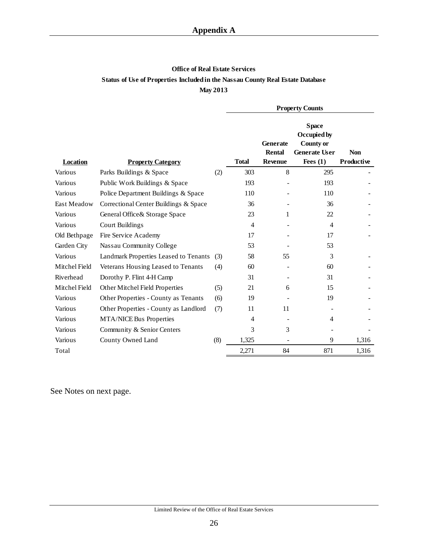#### **Office of Real Estate Services Status of Use of Properties Included in the Nassau County Real Estate Database May 2013**

|               |                                       |     | <b>Property Counts</b> |                                                    |                                                                                       |                          |  |
|---------------|---------------------------------------|-----|------------------------|----------------------------------------------------|---------------------------------------------------------------------------------------|--------------------------|--|
| Location      | <b>Property Category</b>              |     | <b>Total</b>           | <b>Generate</b><br><b>Rental</b><br><b>Revenue</b> | <b>Space</b><br>Occupied by<br><b>County or</b><br><b>Generate User</b><br>Fees $(1)$ | <b>Non</b><br>Productive |  |
| Various       | Parks Buildings & Space               | (2) | 303                    | 8                                                  | 295                                                                                   |                          |  |
| Various       | Public Work Buildings & Space         |     | 193                    |                                                    | 193                                                                                   |                          |  |
| Various       | Police Department Buildings & Space   |     | 110                    |                                                    | 110                                                                                   |                          |  |
| East Meadow   | Correctional Center Buildings & Space |     | 36                     |                                                    | 36                                                                                    |                          |  |
| Various       | General Office & Storage Space        |     | 23                     | 1                                                  | 22                                                                                    |                          |  |
| Various       | Court Buildings                       |     | $\overline{4}$         |                                                    | $\overline{4}$                                                                        |                          |  |
| Old Bethpage  | Fire Service Academy                  |     | 17                     |                                                    | 17                                                                                    |                          |  |
| Garden City   | Nassau Community College              |     | 53                     |                                                    | 53                                                                                    |                          |  |
| Various       | Landmark Properties Leased to Tenants | (3) | 58                     | 55                                                 | 3                                                                                     |                          |  |
| Mitchel Field | Veterans Housing Leased to Tenants    | (4) | 60                     |                                                    | 60                                                                                    |                          |  |
| Riverhead     | Dorothy P. Flint 4-H Camp             |     | 31                     |                                                    | 31                                                                                    |                          |  |
| Mitchel Field | Other Mitchel Field Properties        | (5) | 21                     | 6                                                  | 15                                                                                    |                          |  |
| Various       | Other Properties - County as Tenants  | (6) | 19                     |                                                    | 19                                                                                    |                          |  |
| Various       | Other Properties - County as Landlord | (7) | 11                     | 11                                                 |                                                                                       |                          |  |
| Various       | MTA/NICE Bus Properties               |     | $\overline{4}$         |                                                    | $\overline{4}$                                                                        |                          |  |
| Various       | Community & Senior Centers            |     | 3                      | 3                                                  |                                                                                       |                          |  |
| Various       | County Owned Land                     | (8) | 1,325                  |                                                    | 9                                                                                     | 1,316                    |  |
| Total         |                                       |     | 2,271                  | 84                                                 | 871                                                                                   | 1,316                    |  |

<span id="page-32-0"></span>See Notes on next page.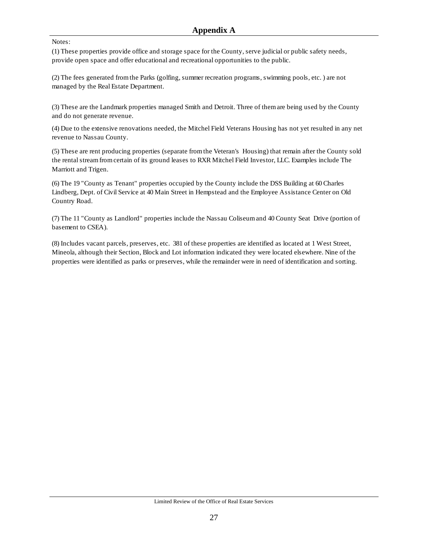#### Notes:

(1) These properties provide office and storage space for the County, serve judicial or public safety needs, provide open space and offer educational and recreational opportunities to the public.

(2) The fees generated from the Parks (golfing, summer recreation programs, swimming pools, etc. ) are not managed by the Real Estate Department.

(3) These are the Landmark properties managed Smith and Detroit. Three of them are being used by the County and do not generate revenue.

(4) Due to the extensive renovations needed, the Mitchel Field Veterans Housing has not yet resulted in any net revenue to Nassau County.

(5) These are rent producing properties (separate from the Veteran's Housing) that remain after the County sold the rental stream from certain of its ground leases to RXR Mitchel Field Investor, LLC. Examples include The Marriott and Trigen.

(6) The 19 "County as Tenant" properties occupied by the County include the DSS Building at 60 Charles Lindberg, Dept. of Civil Service at 40 Main Street in Hempstead and the Employee Assistance Center on Old Country Road.

(7) The 11 "County as Landlord" properties include the Nassau Coliseum and 40 County Seat Drive (portion of basement to CSEA).

(8) Includes vacant parcels, preserves, etc. 381 of these properties are identified as located at 1 West Street, Mineola, although their Section, Block and Lot information indicated they were located elsewhere. Nine of the properties were identified as parks or preserves, while the remainder were in need of identification and sorting.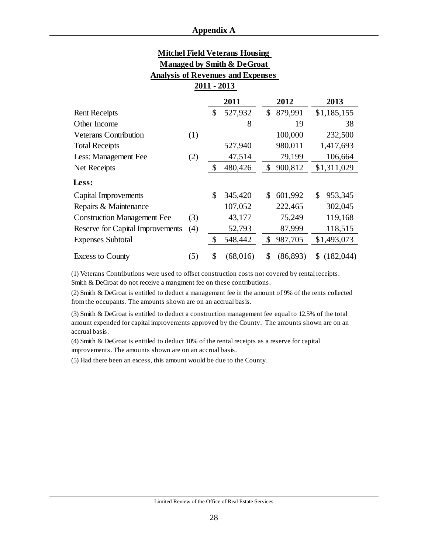| <b>Mitchel Field Veterans Housing</b>    |
|------------------------------------------|
| Managed by Smith & DeGroat               |
| <b>Analysis of Revenues and Expenses</b> |

**2011 - 2013** 

|                                    |     | 2011           | 2012            | 2013           |  |  |  |  |  |  |  |  |  |
|------------------------------------|-----|----------------|-----------------|----------------|--|--|--|--|--|--|--|--|--|
| <b>Rent Receipts</b>               |     | \$<br>527,932  | \$<br>879,991   | \$1,185,155    |  |  |  |  |  |  |  |  |  |
| Other Income                       |     | 8              | 19              | 38             |  |  |  |  |  |  |  |  |  |
| <b>Veterans Contribution</b>       | (1) |                | 100,000         | 232,500        |  |  |  |  |  |  |  |  |  |
| <b>Total Receipts</b>              |     | 527,940        | 980,011         | 1,417,693      |  |  |  |  |  |  |  |  |  |
| Less: Management Fee               | (2) | 47,514         | 79,199          | 106,664        |  |  |  |  |  |  |  |  |  |
| Net Receipts                       |     | \$<br>480,426  | \$<br>900,812   | \$1,311,029    |  |  |  |  |  |  |  |  |  |
| Less:                              |     |                |                 |                |  |  |  |  |  |  |  |  |  |
| Capital Improvements               |     | \$<br>345,420  | \$<br>601,992   | \$<br>953,345  |  |  |  |  |  |  |  |  |  |
| Repairs & Maintenance              |     | 107,052        | 222,465         | 302,045        |  |  |  |  |  |  |  |  |  |
| <b>Construction Management Fee</b> | (3) | 43,177         | 75,249          | 119,168        |  |  |  |  |  |  |  |  |  |
| Reserve for Capital Improvements   | (4) | 52,793         | 87,999          | 118,515        |  |  |  |  |  |  |  |  |  |
| <b>Expenses Subtotal</b>           |     | \$<br>548,442  | \$<br>987,705   | \$1,493,073    |  |  |  |  |  |  |  |  |  |
| <b>Excess to County</b>            | (5) | \$<br>(68,016) | \$<br>(86, 893) | (182,044)<br>S |  |  |  |  |  |  |  |  |  |

(1) Veterans Contributions were used to offset construction costs not covered by rental receipts. Smith & DeGroat do not receive a mangment fee on these contributions.

(2) Smith & DeGroat is entitled to deduct a management fee in the amount of 9% of the rents collected from the occupants. The amounts shown are on an accrual basis.

(3) Smith & DeGroat is entitled to deduct a construction management fee equal to 12.5% of the total amount expended for capital improvements approved by the County. The amounts shown are on an accrual basis.

(4) Smith & DeGroat is entitled to deduct 10% of the rental receipts as a reserve for capital improvements. The amounts shown are on an accrual basis.

(5) Had there been an excess, this amount would be due to the County.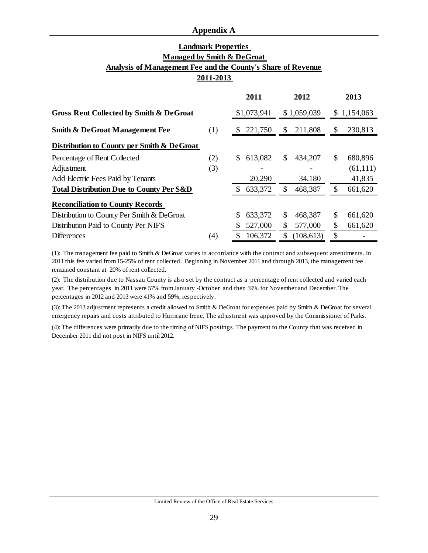#### **Appendix A**

#### **Landmark Properties Managed by Smith & DeGroat Analysis of Management Fee and the County's Share of Revenue 2011-2013**

|                                                     |     | 2011          | 2012                    | 2013          |
|-----------------------------------------------------|-----|---------------|-------------------------|---------------|
|                                                     |     |               |                         |               |
| <b>Gross Rent Collected by Smith &amp; DeGroat</b>  |     | \$1,073,941   | \$1,059,039             | \$1,154,063   |
| <b>Smith &amp; DeGroat Management Fee</b>           | (1) | 221,750<br>\$ | 211,808<br>$\mathbb{S}$ | 230,813<br>\$ |
| Distribution to County per Smith & DeGroat          |     |               |                         |               |
| Percentage of Rent Collected                        | (2) | 613,082<br>\$ | \$<br>434,207           | S<br>680,896  |
| Adjustment                                          | (3) |               |                         | (61, 111)     |
| Add Electric Fees Paid by Tenants                   |     | 20,290        | 34,180                  | 41,835        |
| <b>Total Distribution Due to County Per S&amp;D</b> |     | 633,372       | \$<br>468,387           | 661,620       |
| <b>Reconciliation to County Records</b>             |     |               |                         |               |
| Distribution to County Per Smith & DeGroat          |     | 633,372<br>S  | \$<br>468,387           | S<br>661,620  |
| Distribution Paid to County Per NIFS                |     | 527,000       | \$<br>577,000           | \$<br>661,620 |
| <b>Differences</b>                                  | (4) | 106,372<br>S  | (108, 613)              | \$            |

(1): The management fee paid to Smith & DeGroat varies in accordance with the contract and subsequent amendments. In 2011 this fee varied from 15-25% of rent collected. Beginning in November 2011 and through 2013, the management fee remained constant at 20% of rent collected.

(2): The distribution due to Nassau County is also set by the contract as a percentage of rent collected and varied each year. The percentages in 2011 were 57% from January -October and then 59% for November and December. The percentages in 2012 and 2013 were 41% and 59%, respectively.

(3): The 2013 adjustment represents a credit allowed to Smith & DeGroat for expenses paid by Smith & DeGroat for several emergency repairs and costs attributed to Hurricane Irene. The adjustment was approved by the Commissioner of Parks.

(4): The differences were primarily due to the timing of NIFS postings. The payment to the County that was received in December 2011 did not post in NIFS until 2012.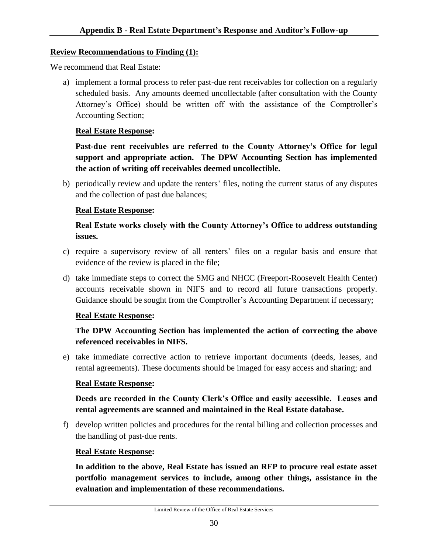#### <span id="page-36-0"></span>**Review Recommendations to Finding (1):**

We recommend that Real Estate:

a) implement a formal process to refer past-due rent receivables for collection on a regularly scheduled basis. Any amounts deemed uncollectable (after consultation with the County Attorney's Office) should be written off with the assistance of the Comptroller's Accounting Section;

#### **Real Estate Response:**

**Past-due rent receivables are referred to the County Attorney's Office for legal support and appropriate action. The DPW Accounting Section has implemented the action of writing off receivables deemed uncollectible.**

b) periodically review and update the renters' files, noting the current status of any disputes and the collection of past due balances;

### **Real Estate Response:**

### **Real Estate works closely with the County Attorney's Office to address outstanding issues.**

- c) require a supervisory review of all renters' files on a regular basis and ensure that evidence of the review is placed in the file;
- d) take immediate steps to correct the SMG and NHCC (Freeport-Roosevelt Health Center) accounts receivable shown in NIFS and to record all future transactions properly. Guidance should be sought from the Comptroller's Accounting Department if necessary;

### **Real Estate Response:**

### **The DPW Accounting Section has implemented the action of correcting the above referenced receivables in NIFS.**

e) take immediate corrective action to retrieve important documents (deeds, leases, and rental agreements). These documents should be imaged for easy access and sharing; and

### **Real Estate Response:**

### **Deeds are recorded in the County Clerk's Office and easily accessible. Leases and rental agreements are scanned and maintained in the Real Estate database.**

f) develop written policies and procedures for the rental billing and collection processes and the handling of past-due rents.

### **Real Estate Response:**

**In addition to the above, Real Estate has issued an RFP to procure real estate asset portfolio management services to include, among other things, assistance in the evaluation and implementation of these recommendations.**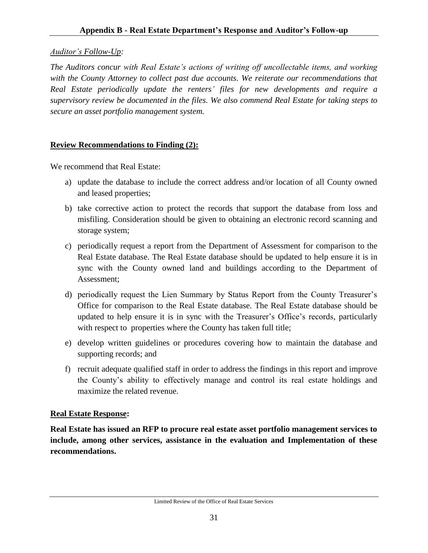### *Auditor's Follow-Up:*

*The Auditors concur with Real Estate's actions of writing off uncollectable items, and working with the County Attorney to collect past due accounts. We reiterate our recommendations that Real Estate periodically update the renters' files for new developments and require a supervisory review be documented in the files. We also commend Real Estate for taking steps to secure an asset portfolio management system.*

### **Review Recommendations to Finding (2):**

We recommend that Real Estate:

- a) update the database to include the correct address and/or location of all County owned and leased properties;
- b) take corrective action to protect the records that support the database from loss and misfiling. Consideration should be given to obtaining an electronic record scanning and storage system;
- c) periodically request a report from the Department of Assessment for comparison to the Real Estate database. The Real Estate database should be updated to help ensure it is in sync with the County owned land and buildings according to the Department of Assessment;
- d) periodically request the Lien Summary by Status Report from the County Treasurer's Office for comparison to the Real Estate database. The Real Estate database should be updated to help ensure it is in sync with the Treasurer's Office's records, particularly with respect to properties where the County has taken full title;
- e) develop written guidelines or procedures covering how to maintain the database and supporting records; and
- f) recruit adequate qualified staff in order to address the findings in this report and improve the County's ability to effectively manage and control its real estate holdings and maximize the related revenue.

### **Real Estate Response:**

**Real Estate has issued an RFP to procure real estate asset portfolio management services to include, among other services, assistance in the evaluation and Implementation of these recommendations.**

Limited Review of the Office of Real Estate Services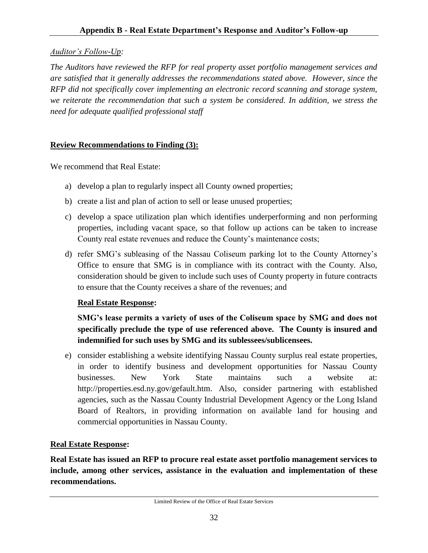### *Auditor's Follow-Up:*

*The Auditors have reviewed the RFP for real property asset portfolio management services and are satisfied that it generally addresses the recommendations stated above. However, since the RFP did not specifically cover implementing an electronic record scanning and storage system, we reiterate the recommendation that such a system be considered. In addition, we stress the need for adequate qualified professional staff*

### **Review Recommendations to Finding (3):**

We recommend that Real Estate:

- a) develop a plan to regularly inspect all County owned properties;
- b) create a list and plan of action to sell or lease unused properties;
- c) develop a space utilization plan which identifies underperforming and non performing properties, including vacant space, so that follow up actions can be taken to increase County real estate revenues and reduce the County's maintenance costs;
- d) refer SMG's subleasing of the Nassau Coliseum parking lot to the County Attorney's Office to ensure that SMG is in compliance with its contract with the County. Also, consideration should be given to include such uses of County property in future contracts to ensure that the County receives a share of the revenues; and

### **Real Estate Response:**

## **SMG's lease permits a variety of uses of the Coliseum space by SMG and does not specifically preclude the type of use referenced above. The County is insured and indemnified for such uses by SMG and its sublessees/sublicensees.**

e) consider establishing a website identifying Nassau County surplus real estate properties, in order to identify business and development opportunities for Nassau County businesses. New York State maintains such a website at: [http://properties.esd.ny.gov/gefault.htm.](http://properties.esd.ny.gov/gefault.htm) Also, consider partnering with established agencies, such as the Nassau County Industrial Development Agency or the Long Island Board of Realtors, in providing information on available land for housing and commercial opportunities in Nassau County.

### **Real Estate Response:**

**Real Estate has issued an RFP to procure real estate asset portfolio management services to include, among other services, assistance in the evaluation and implementation of these recommendations.**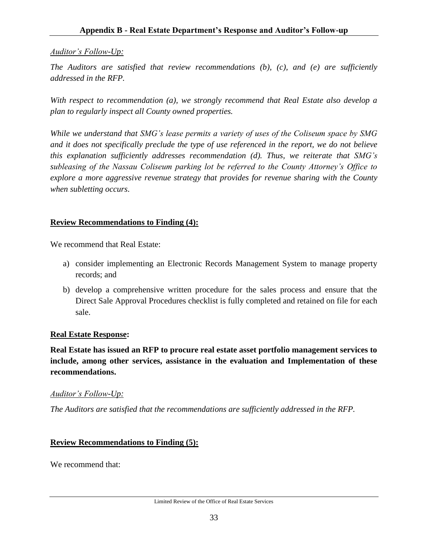### *Auditor's Follow-Up:*

*The Auditors are satisfied that review recommendations (b), (c), and (e) are sufficiently addressed in the RFP.* 

*With respect to recommendation (a), we strongly recommend that Real Estate also develop a plan to regularly inspect all County owned properties.* 

*While we understand that SMG's lease permits a variety of uses of the Coliseum space by SMG and it does not specifically preclude the type of use referenced in the report, we do not believe this explanation sufficiently addresses recommendation (d). Thus, we reiterate that SMG's subleasing of the Nassau Coliseum parking lot be referred to the County Attorney's Office to explore a more aggressive revenue strategy that provides for revenue sharing with the County when subletting occurs*.

### **Review Recommendations to Finding (4):**

We recommend that Real Estate:

- a) consider implementing an Electronic Records Management System to manage property records; and
- b) develop a comprehensive written procedure for the sales process and ensure that the Direct Sale Approval Procedures checklist is fully completed and retained on file for each sale.

### **Real Estate Response:**

**Real Estate has issued an RFP to procure real estate asset portfolio management services to include, among other services, assistance in the evaluation and Implementation of these recommendations.**

### *Auditor's Follow-Up:*

*The Auditors are satisfied that the recommendations are sufficiently addressed in the RFP.* 

### **Review Recommendations to Finding (5):**

We recommend that: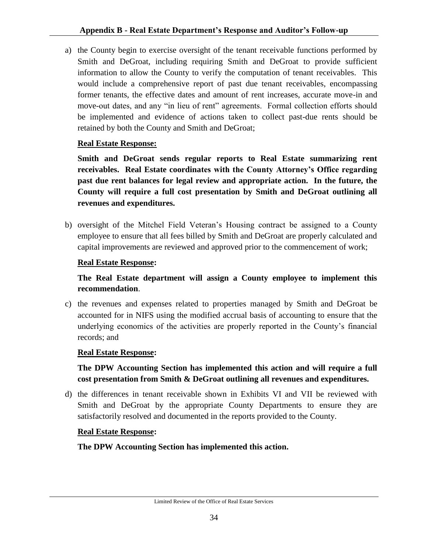a) the County begin to exercise oversight of the tenant receivable functions performed by Smith and DeGroat, including requiring Smith and DeGroat to provide sufficient information to allow the County to verify the computation of tenant receivables. This would include a comprehensive report of past due tenant receivables, encompassing former tenants, the effective dates and amount of rent increases, accurate move-in and move-out dates, and any "in lieu of rent" agreements. Formal collection efforts should be implemented and evidence of actions taken to collect past-due rents should be retained by both the County and Smith and DeGroat;

### **Real Estate Response:**

**Smith and DeGroat sends regular reports to Real Estate summarizing rent receivables. Real Estate coordinates with the County Attorney's Office regarding past due rent balances for legal review and appropriate action. In the future, the County will require a full cost presentation by Smith and DeGroat outlining all revenues and expenditures.**

b) oversight of the Mitchel Field Veteran's Housing contract be assigned to a County employee to ensure that all fees billed by Smith and DeGroat are properly calculated and capital improvements are reviewed and approved prior to the commencement of work;

### **Real Estate Response:**

**The Real Estate department will assign a County employee to implement this recommendation**.

c) the revenues and expenses related to properties managed by Smith and DeGroat be accounted for in NIFS using the modified accrual basis of accounting to ensure that the underlying economics of the activities are properly reported in the County's financial records; and

### **Real Estate Response:**

**The DPW Accounting Section has implemented this action and will require a full cost presentation from Smith & DeGroat outlining all revenues and expenditures.**

d) the differences in tenant receivable shown in Exhibits VI and VII be reviewed with Smith and DeGroat by the appropriate County Departments to ensure they are satisfactorily resolved and documented in the reports provided to the County.

### **Real Estate Response:**

**The DPW Accounting Section has implemented this action.**